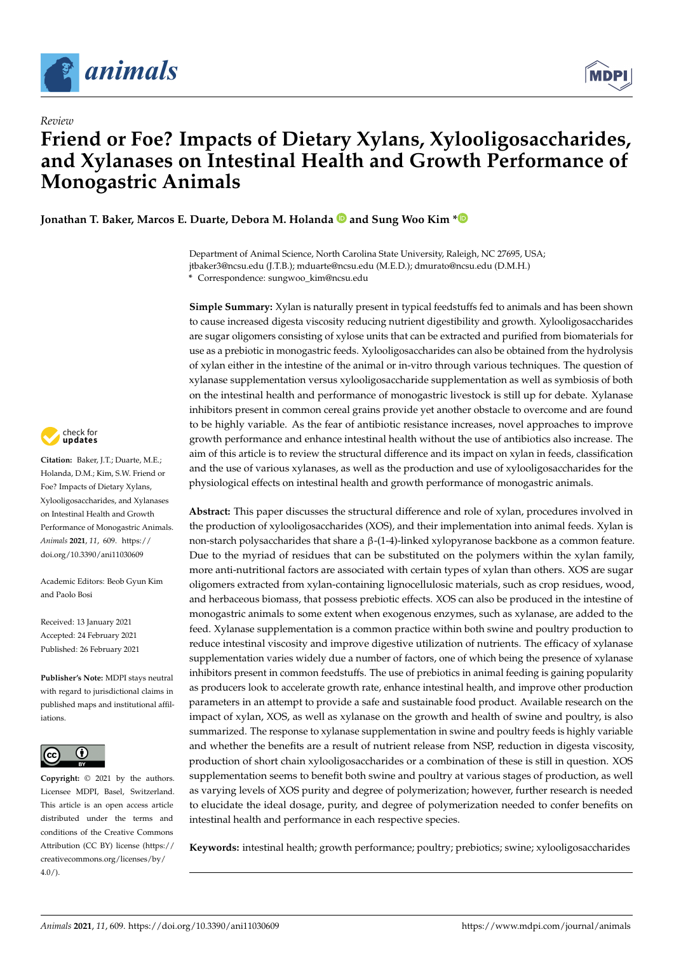

*Review*



# **Friend or Foe? Impacts of Dietary Xylans, Xylooligosaccharides, and Xylanases on Intestinal Health and Growth Performance of Monogastric Animals**

**Jonathan T. Baker, Marcos E. Duarte, Debora M. Holanda and Sung Woo Kim [\\*](https://orcid.org/0000-0003-4591-1943)**

Department of Animal Science, North Carolina State University, Raleigh, NC 27695, USA; jtbaker3@ncsu.edu (J.T.B.); mduarte@ncsu.edu (M.E.D.); dmurato@ncsu.edu (D.M.H.) **\*** Correspondence: sungwoo\_kim@ncsu.edu

**Simple Summary:** Xylan is naturally present in typical feedstuffs fed to animals and has been shown to cause increased digesta viscosity reducing nutrient digestibility and growth. Xylooligosaccharides are sugar oligomers consisting of xylose units that can be extracted and purified from biomaterials for use as a prebiotic in monogastric feeds. Xylooligosaccharides can also be obtained from the hydrolysis of xylan either in the intestine of the animal or in-vitro through various techniques. The question of xylanase supplementation versus xylooligosaccharide supplementation as well as symbiosis of both on the intestinal health and performance of monogastric livestock is still up for debate. Xylanase inhibitors present in common cereal grains provide yet another obstacle to overcome and are found to be highly variable. As the fear of antibiotic resistance increases, novel approaches to improve growth performance and enhance intestinal health without the use of antibiotics also increase. The aim of this article is to review the structural difference and its impact on xylan in feeds, classification and the use of various xylanases, as well as the production and use of xylooligosaccharides for the physiological effects on intestinal health and growth performance of monogastric animals.

**Abstract:** This paper discusses the structural difference and role of xylan, procedures involved in the production of xylooligosaccharides (XOS), and their implementation into animal feeds. Xylan is non-starch polysaccharides that share a β-(1-4)-linked xylopyranose backbone as a common feature. Due to the myriad of residues that can be substituted on the polymers within the xylan family, more anti-nutritional factors are associated with certain types of xylan than others. XOS are sugar oligomers extracted from xylan-containing lignocellulosic materials, such as crop residues, wood, and herbaceous biomass, that possess prebiotic effects. XOS can also be produced in the intestine of monogastric animals to some extent when exogenous enzymes, such as xylanase, are added to the feed. Xylanase supplementation is a common practice within both swine and poultry production to reduce intestinal viscosity and improve digestive utilization of nutrients. The efficacy of xylanase supplementation varies widely due a number of factors, one of which being the presence of xylanase inhibitors present in common feedstuffs. The use of prebiotics in animal feeding is gaining popularity as producers look to accelerate growth rate, enhance intestinal health, and improve other production parameters in an attempt to provide a safe and sustainable food product. Available research on the impact of xylan, XOS, as well as xylanase on the growth and health of swine and poultry, is also summarized. The response to xylanase supplementation in swine and poultry feeds is highly variable and whether the benefits are a result of nutrient release from NSP, reduction in digesta viscosity, production of short chain xylooligosaccharides or a combination of these is still in question. XOS supplementation seems to benefit both swine and poultry at various stages of production, as well as varying levels of XOS purity and degree of polymerization; however, further research is needed to elucidate the ideal dosage, purity, and degree of polymerization needed to confer benefits on intestinal health and performance in each respective species.

**Keywords:** intestinal health; growth performance; poultry; prebiotics; swine; xylooligosaccharides



**Citation:** Baker, J.T.; Duarte, M.E.; Holanda, D.M.; Kim, S.W. Friend or Foe? Impacts of Dietary Xylans, Xylooligosaccharides, and Xylanases on Intestinal Health and Growth Performance of Monogastric Animals. *Animals* **2021**, *11*, 609. [https://](https://doi.org/10.3390/ani11030609) [doi.org/10.3390/ani11030609](https://doi.org/10.3390/ani11030609)

Academic Editors: Beob Gyun Kim and Paolo Bosi

Received: 13 January 2021 Accepted: 24 February 2021 Published: 26 February 2021

**Publisher's Note:** MDPI stays neutral with regard to jurisdictional claims in published maps and institutional affiliations.



**Copyright:** © 2021 by the authors. Licensee MDPI, Basel, Switzerland. This article is an open access article distributed under the terms and conditions of the Creative Commons Attribution (CC BY) license (https:/[/](https://creativecommons.org/licenses/by/4.0/) [creativecommons.org/licenses/by/](https://creativecommons.org/licenses/by/4.0/)  $4.0/$ ).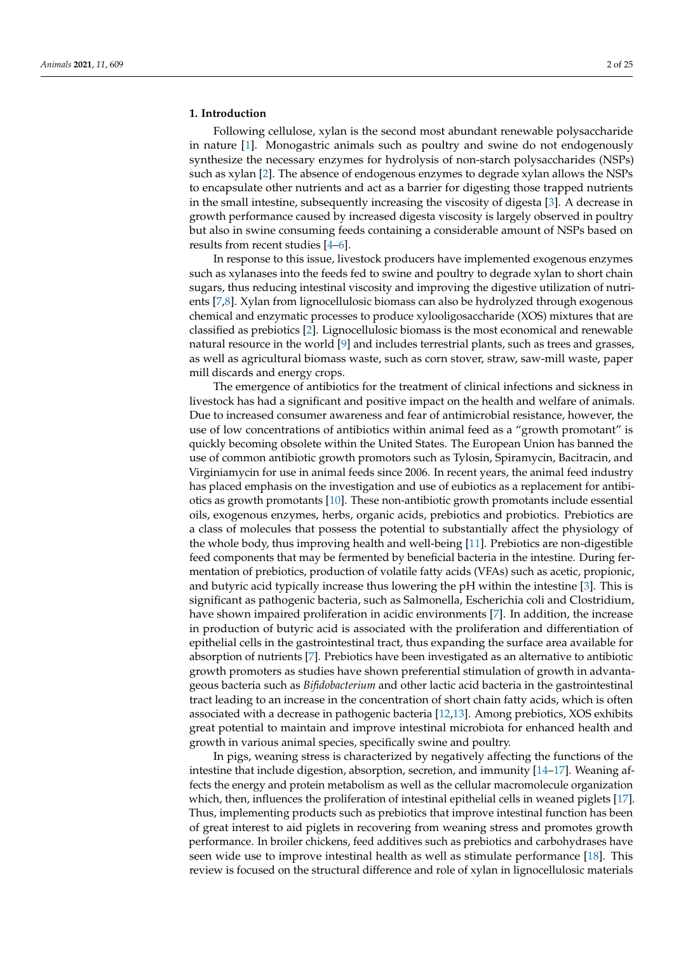#### **1. Introduction**

Following cellulose, xylan is the second most abundant renewable polysaccharide in nature [\[1\]](#page-16-0). Monogastric animals such as poultry and swine do not endogenously synthesize the necessary enzymes for hydrolysis of non-starch polysaccharides (NSPs) such as xylan [\[2\]](#page-16-1). The absence of endogenous enzymes to degrade xylan allows the NSPs to encapsulate other nutrients and act as a barrier for digesting those trapped nutrients in the small intestine, subsequently increasing the viscosity of digesta [\[3\]](#page-16-2). A decrease in growth performance caused by increased digesta viscosity is largely observed in poultry but also in swine consuming feeds containing a considerable amount of NSPs based on results from recent studies [\[4](#page-16-3)[–6\]](#page-17-0).

In response to this issue, livestock producers have implemented exogenous enzymes such as xylanases into the feeds fed to swine and poultry to degrade xylan to short chain sugars, thus reducing intestinal viscosity and improving the digestive utilization of nutrients [\[7,](#page-17-1)[8\]](#page-17-2). Xylan from lignocellulosic biomass can also be hydrolyzed through exogenous chemical and enzymatic processes to produce xylooligosaccharide (XOS) mixtures that are classified as prebiotics [\[2\]](#page-16-1). Lignocellulosic biomass is the most economical and renewable natural resource in the world [\[9\]](#page-17-3) and includes terrestrial plants, such as trees and grasses, as well as agricultural biomass waste, such as corn stover, straw, saw-mill waste, paper mill discards and energy crops.

The emergence of antibiotics for the treatment of clinical infections and sickness in livestock has had a significant and positive impact on the health and welfare of animals. Due to increased consumer awareness and fear of antimicrobial resistance, however, the use of low concentrations of antibiotics within animal feed as a "growth promotant" is quickly becoming obsolete within the United States. The European Union has banned the use of common antibiotic growth promotors such as Tylosin, Spiramycin, Bacitracin, and Virginiamycin for use in animal feeds since 2006. In recent years, the animal feed industry has placed emphasis on the investigation and use of eubiotics as a replacement for antibiotics as growth promotants [\[10\]](#page-17-4). These non-antibiotic growth promotants include essential oils, exogenous enzymes, herbs, organic acids, prebiotics and probiotics. Prebiotics are a class of molecules that possess the potential to substantially affect the physiology of the whole body, thus improving health and well-being [\[11\]](#page-17-5). Prebiotics are non-digestible feed components that may be fermented by beneficial bacteria in the intestine. During fermentation of prebiotics, production of volatile fatty acids (VFAs) such as acetic, propionic, and butyric acid typically increase thus lowering the pH within the intestine [\[3\]](#page-16-2). This is significant as pathogenic bacteria, such as Salmonella, Escherichia coli and Clostridium, have shown impaired proliferation in acidic environments [\[7\]](#page-17-1). In addition, the increase in production of butyric acid is associated with the proliferation and differentiation of epithelial cells in the gastrointestinal tract, thus expanding the surface area available for absorption of nutrients [\[7\]](#page-17-1). Prebiotics have been investigated as an alternative to antibiotic growth promoters as studies have shown preferential stimulation of growth in advantageous bacteria such as *Bifidobacterium* and other lactic acid bacteria in the gastrointestinal tract leading to an increase in the concentration of short chain fatty acids, which is often associated with a decrease in pathogenic bacteria [\[12](#page-17-6)[,13\]](#page-17-7). Among prebiotics, XOS exhibits great potential to maintain and improve intestinal microbiota for enhanced health and growth in various animal species, specifically swine and poultry.

In pigs, weaning stress is characterized by negatively affecting the functions of the intestine that include digestion, absorption, secretion, and immunity [\[14](#page-17-8)[–17\]](#page-17-9). Weaning affects the energy and protein metabolism as well as the cellular macromolecule organization which, then, influences the proliferation of intestinal epithelial cells in weaned piglets [\[17\]](#page-17-9). Thus, implementing products such as prebiotics that improve intestinal function has been of great interest to aid piglets in recovering from weaning stress and promotes growth performance. In broiler chickens, feed additives such as prebiotics and carbohydrases have seen wide use to improve intestinal health as well as stimulate performance [\[18\]](#page-17-10). This review is focused on the structural difference and role of xylan in lignocellulosic materials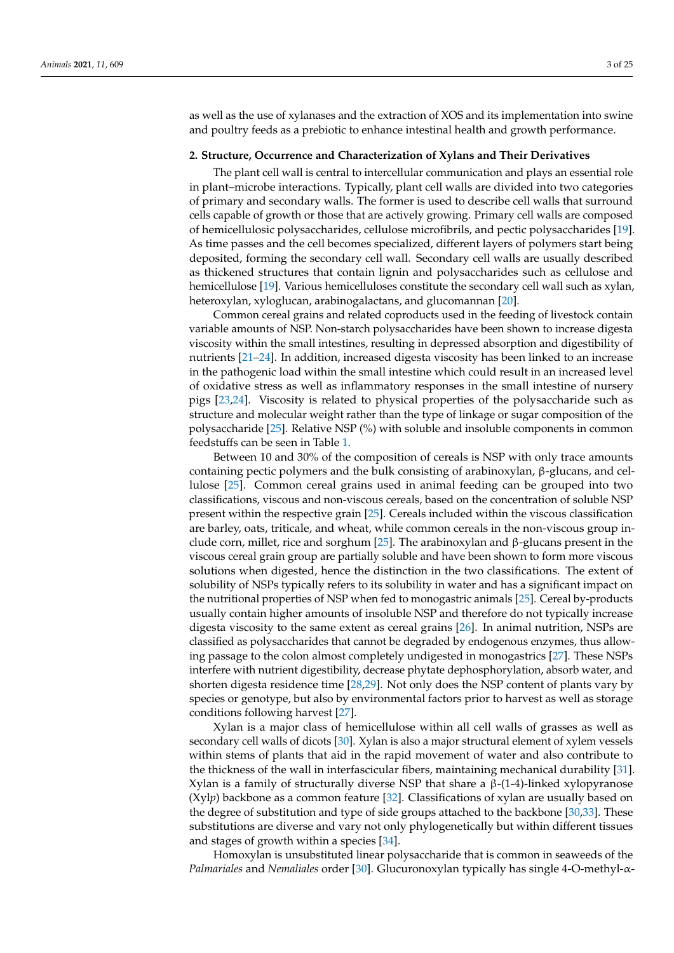as well as the use of xylanases and the extraction of XOS and its implementation into swine and poultry feeds as a prebiotic to enhance intestinal health and growth performance.

#### **2. Structure, Occurrence and Characterization of Xylans and Their Derivatives**

The plant cell wall is central to intercellular communication and plays an essential role in plant–microbe interactions. Typically, plant cell walls are divided into two categories of primary and secondary walls. The former is used to describe cell walls that surround cells capable of growth or those that are actively growing. Primary cell walls are composed of hemicellulosic polysaccharides, cellulose microfibrils, and pectic polysaccharides [\[19\]](#page-17-11). As time passes and the cell becomes specialized, different layers of polymers start being deposited, forming the secondary cell wall. Secondary cell walls are usually described as thickened structures that contain lignin and polysaccharides such as cellulose and hemicellulose [\[19\]](#page-17-11). Various hemicelluloses constitute the secondary cell wall such as xylan, heteroxylan, xyloglucan, arabinogalactans, and glucomannan [\[20\]](#page-17-12).

Common cereal grains and related coproducts used in the feeding of livestock contain variable amounts of NSP. Non-starch polysaccharides have been shown to increase digesta viscosity within the small intestines, resulting in depressed absorption and digestibility of nutrients [\[21–](#page-17-13)[24\]](#page-17-14). In addition, increased digesta viscosity has been linked to an increase in the pathogenic load within the small intestine which could result in an increased level of oxidative stress as well as inflammatory responses in the small intestine of nursery pigs [\[23,](#page-17-15)[24\]](#page-17-14). Viscosity is related to physical properties of the polysaccharide such as structure and molecular weight rather than the type of linkage or sugar composition of the polysaccharide [\[25\]](#page-17-16). Relative NSP (%) with soluble and insoluble components in common feedstuffs can be seen in Table [1.](#page-5-0)

Between 10 and 30% of the composition of cereals is NSP with only trace amounts containing pectic polymers and the bulk consisting of arabinoxylan, β-glucans, and cellulose [\[25\]](#page-17-16). Common cereal grains used in animal feeding can be grouped into two classifications, viscous and non-viscous cereals, based on the concentration of soluble NSP present within the respective grain [\[25\]](#page-17-16). Cereals included within the viscous classification are barley, oats, triticale, and wheat, while common cereals in the non-viscous group in-clude corn, millet, rice and sorghum [\[25\]](#page-17-16). The arabinoxylan and  $\beta$ -glucans present in the viscous cereal grain group are partially soluble and have been shown to form more viscous solutions when digested, hence the distinction in the two classifications. The extent of solubility of NSPs typically refers to its solubility in water and has a significant impact on the nutritional properties of NSP when fed to monogastric animals [\[25\]](#page-17-16). Cereal by-products usually contain higher amounts of insoluble NSP and therefore do not typically increase digesta viscosity to the same extent as cereal grains [\[26\]](#page-17-17). In animal nutrition, NSPs are classified as polysaccharides that cannot be degraded by endogenous enzymes, thus allowing passage to the colon almost completely undigested in monogastrics [\[27\]](#page-17-18). These NSPs interfere with nutrient digestibility, decrease phytate dephosphorylation, absorb water, and shorten digesta residence time [\[28](#page-17-19)[,29\]](#page-17-20). Not only does the NSP content of plants vary by species or genotype, but also by environmental factors prior to harvest as well as storage conditions following harvest [\[27\]](#page-17-18).

Xylan is a major class of hemicellulose within all cell walls of grasses as well as secondary cell walls of dicots [\[30\]](#page-17-21). Xylan is also a major structural element of xylem vessels within stems of plants that aid in the rapid movement of water and also contribute to the thickness of the wall in interfascicular fibers, maintaining mechanical durability [\[31\]](#page-17-22). Xylan is a family of structurally diverse NSP that share a β-(1-4)-linked xylopyranose (Xyl*p*) backbone as a common feature [\[32\]](#page-17-23). Classifications of xylan are usually based on the degree of substitution and type of side groups attached to the backbone [\[30](#page-17-21)[,33\]](#page-17-24). These substitutions are diverse and vary not only phylogenetically but within different tissues and stages of growth within a species [\[34\]](#page-18-0).

Homoxylan is unsubstituted linear polysaccharide that is common in seaweeds of the *Palmariales* and *Nemaliales* order [\[30\]](#page-17-21). Glucuronoxylan typically has single 4-O-methyl-α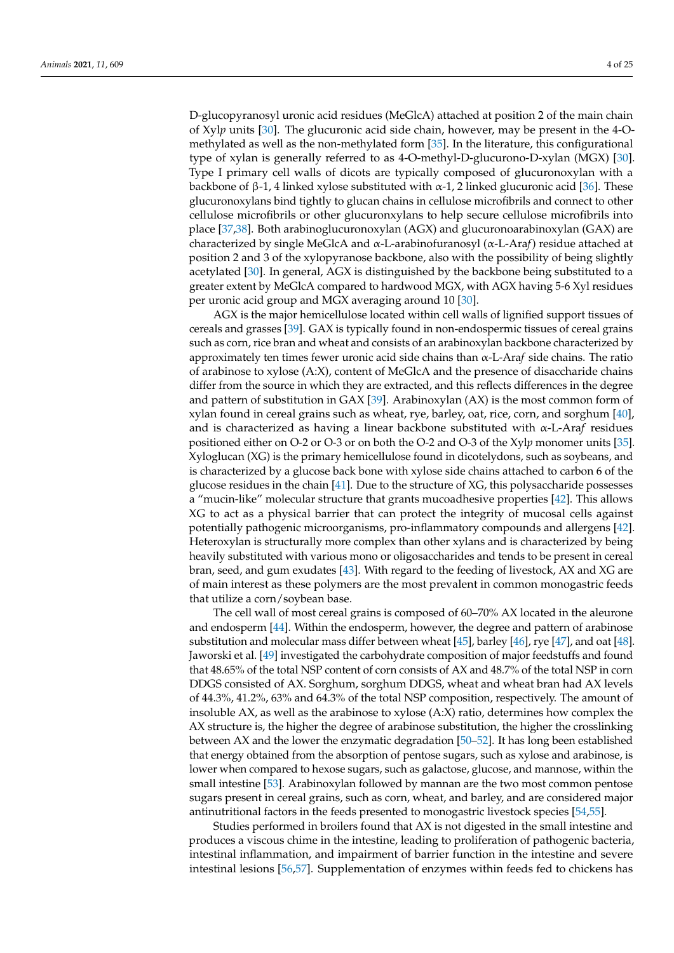D-glucopyranosyl uronic acid residues (MeGlcA) attached at position 2 of the main chain of Xyl*p* units [\[30\]](#page-17-21). The glucuronic acid side chain, however, may be present in the 4-Omethylated as well as the non-methylated form [\[35\]](#page-18-1). In the literature, this configurational type of xylan is generally referred to as 4-O-methyl-D-glucurono-D-xylan (MGX) [\[30\]](#page-17-21). Type I primary cell walls of dicots are typically composed of glucuronoxylan with a backbone of β-1, 4 linked xylose substituted with  $\alpha$ -1, 2 linked glucuronic acid [\[36\]](#page-18-2). These glucuronoxylans bind tightly to glucan chains in cellulose microfibrils and connect to other cellulose microfibrils or other glucuronxylans to help secure cellulose microfibrils into place [\[37,](#page-18-3)[38\]](#page-18-4). Both arabinoglucuronoxylan (AGX) and glucuronoarabinoxylan (GAX) are characterized by single MeGlcA and α-L-arabinofuranosyl (α-L-Ara*f*) residue attached at position 2 and 3 of the xylopyranose backbone, also with the possibility of being slightly acetylated [\[30\]](#page-17-21). In general, AGX is distinguished by the backbone being substituted to a greater extent by MeGlcA compared to hardwood MGX, with AGX having 5-6 Xyl residues per uronic acid group and MGX averaging around 10 [\[30\]](#page-17-21).

AGX is the major hemicellulose located within cell walls of lignified support tissues of cereals and grasses [\[39\]](#page-18-5). GAX is typically found in non-endospermic tissues of cereal grains such as corn, rice bran and wheat and consists of an arabinoxylan backbone characterized by approximately ten times fewer uronic acid side chains than α-L-Ara*f* side chains. The ratio of arabinose to xylose (A:X), content of MeGlcA and the presence of disaccharide chains differ from the source in which they are extracted, and this reflects differences in the degree and pattern of substitution in GAX [\[39\]](#page-18-5). Arabinoxylan (AX) is the most common form of xylan found in cereal grains such as wheat, rye, barley, oat, rice, corn, and sorghum [\[40\]](#page-18-6), and is characterized as having a linear backbone substituted with α-L-Ara*f* residues positioned either on O-2 or O-3 or on both the O-2 and O-3 of the Xyl*p* monomer units [\[35\]](#page-18-1). Xyloglucan (XG) is the primary hemicellulose found in dicotelydons, such as soybeans, and is characterized by a glucose back bone with xylose side chains attached to carbon 6 of the glucose residues in the chain [\[41\]](#page-18-7). Due to the structure of XG, this polysaccharide possesses a "mucin-like" molecular structure that grants mucoadhesive properties [\[42\]](#page-18-8). This allows XG to act as a physical barrier that can protect the integrity of mucosal cells against potentially pathogenic microorganisms, pro-inflammatory compounds and allergens [\[42\]](#page-18-8). Heteroxylan is structurally more complex than other xylans and is characterized by being heavily substituted with various mono or oligosaccharides and tends to be present in cereal bran, seed, and gum exudates [\[43\]](#page-18-9). With regard to the feeding of livestock, AX and XG are of main interest as these polymers are the most prevalent in common monogastric feeds that utilize a corn/soybean base.

The cell wall of most cereal grains is composed of 60–70% AX located in the aleurone and endosperm [\[44\]](#page-18-10). Within the endosperm, however, the degree and pattern of arabinose substitution and molecular mass differ between wheat [\[45\]](#page-18-11), barley [\[46\]](#page-18-12), rye [\[47\]](#page-18-13), and oat [\[48\]](#page-18-14). Jaworski et al. [\[49\]](#page-18-15) investigated the carbohydrate composition of major feedstuffs and found that 48.65% of the total NSP content of corn consists of AX and 48.7% of the total NSP in corn DDGS consisted of AX. Sorghum, sorghum DDGS, wheat and wheat bran had AX levels of 44.3%, 41.2%, 63% and 64.3% of the total NSP composition, respectively. The amount of insoluble AX, as well as the arabinose to xylose (A:X) ratio, determines how complex the AX structure is, the higher the degree of arabinose substitution, the higher the crosslinking between AX and the lower the enzymatic degradation [\[50](#page-18-16)[–52\]](#page-18-17). It has long been established that energy obtained from the absorption of pentose sugars, such as xylose and arabinose, is lower when compared to hexose sugars, such as galactose, glucose, and mannose, within the small intestine [\[53\]](#page-18-18). Arabinoxylan followed by mannan are the two most common pentose sugars present in cereal grains, such as corn, wheat, and barley, and are considered major antinutritional factors in the feeds presented to monogastric livestock species [\[54,](#page-18-19)[55\]](#page-18-20).

Studies performed in broilers found that AX is not digested in the small intestine and produces a viscous chime in the intestine, leading to proliferation of pathogenic bacteria, intestinal inflammation, and impairment of barrier function in the intestine and severe intestinal lesions [\[56,](#page-18-21)[57\]](#page-18-22). Supplementation of enzymes within feeds fed to chickens has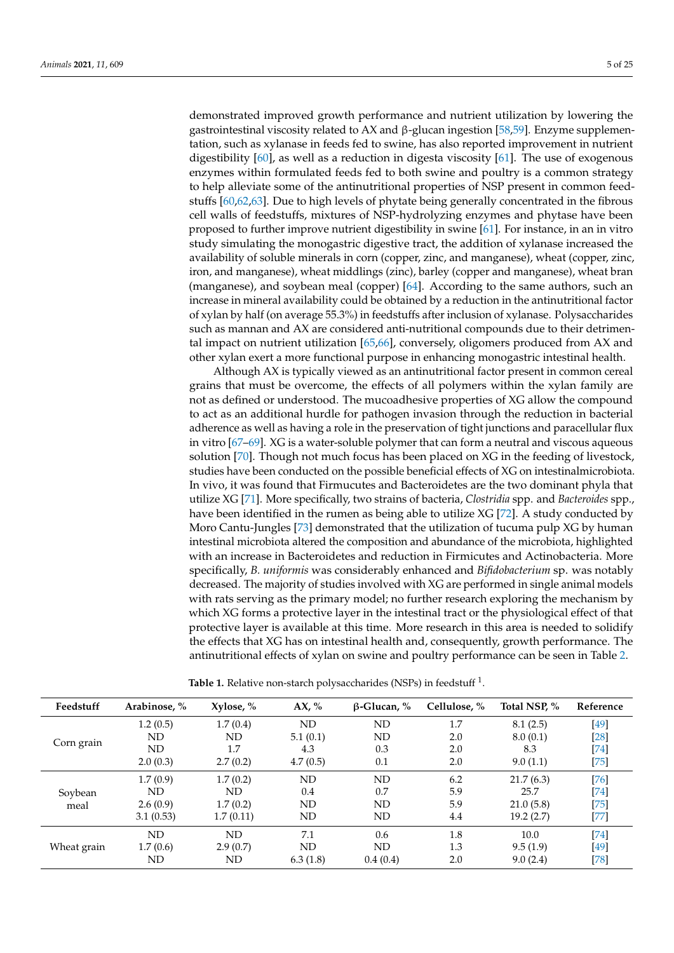demonstrated improved growth performance and nutrient utilization by lowering the gastrointestinal viscosity related to AX and β-glucan ingestion [\[58,](#page-18-23)[59\]](#page-19-0). Enzyme supplementation, such as xylanase in feeds fed to swine, has also reported improvement in nutrient digestibility [\[60\]](#page-19-1), as well as a reduction in digesta viscosity [\[61\]](#page-19-2). The use of exogenous enzymes within formulated feeds fed to both swine and poultry is a common strategy to help alleviate some of the antinutritional properties of NSP present in common feedstuffs [\[60,](#page-19-1)[62,](#page-19-3)[63\]](#page-19-4). Due to high levels of phytate being generally concentrated in the fibrous cell walls of feedstuffs, mixtures of NSP-hydrolyzing enzymes and phytase have been proposed to further improve nutrient digestibility in swine [\[61\]](#page-19-2). For instance, in an in vitro study simulating the monogastric digestive tract, the addition of xylanase increased the availability of soluble minerals in corn (copper, zinc, and manganese), wheat (copper, zinc, iron, and manganese), wheat middlings (zinc), barley (copper and manganese), wheat bran (manganese), and soybean meal (copper) [\[64\]](#page-19-5). According to the same authors, such an increase in mineral availability could be obtained by a reduction in the antinutritional factor of xylan by half (on average 55.3%) in feedstuffs after inclusion of xylanase. Polysaccharides such as mannan and AX are considered anti-nutritional compounds due to their detrimental impact on nutrient utilization [\[65,](#page-19-6)[66\]](#page-19-7), conversely, oligomers produced from AX and other xylan exert a more functional purpose in enhancing monogastric intestinal health.

Although AX is typically viewed as an antinutritional factor present in common cereal grains that must be overcome, the effects of all polymers within the xylan family are not as defined or understood. The mucoadhesive properties of XG allow the compound to act as an additional hurdle for pathogen invasion through the reduction in bacterial adherence as well as having a role in the preservation of tight junctions and paracellular flux in vitro [\[67–](#page-19-8)[69\]](#page-19-9). XG is a water-soluble polymer that can form a neutral and viscous aqueous solution [\[70\]](#page-19-10). Though not much focus has been placed on XG in the feeding of livestock, studies have been conducted on the possible beneficial effects of XG on intestinalmicrobiota. In vivo, it was found that Firmucutes and Bacteroidetes are the two dominant phyla that utilize XG [\[71\]](#page-19-11). More specifically, two strains of bacteria, *Clostridia* spp. and *Bacteroides* spp., have been identified in the rumen as being able to utilize XG [\[72\]](#page-19-12). A study conducted by Moro Cantu-Jungles [\[73\]](#page-19-13) demonstrated that the utilization of tucuma pulp XG by human intestinal microbiota altered the composition and abundance of the microbiota, highlighted with an increase in Bacteroidetes and reduction in Firmicutes and Actinobacteria. More specifically, *B. uniformis* was considerably enhanced and *Bifidobacterium* sp. was notably decreased. The majority of studies involved with XG are performed in single animal models with rats serving as the primary model; no further research exploring the mechanism by which XG forms a protective layer in the intestinal tract or the physiological effect of that protective layer is available at this time. More research in this area is needed to solidify the effects that XG has on intestinal health and, consequently, growth performance. The antinutritional effects of xylan on swine and poultry performance can be seen in Table [2.](#page-5-1)

| Feedstuff   | Arabinose, % | Xylose, % | AX, %     | $\beta$ -Glucan, % | Cellulose, % | Total NSP, % | Reference |
|-------------|--------------|-----------|-----------|--------------------|--------------|--------------|-----------|
| Corn grain  | 1.2(0.5)     | 1.7(0.4)  | ND        | ND                 | 1.7          | 8.1(2.5)     | [49]      |
|             | ND           | ND        | 5.1(0.1)  | ND                 | 2.0          | 8.0(0.1)     | [28]      |
|             | ND           | 1.7       | 4.3       | 0.3                | 2.0          | 8.3          | [74]      |
|             | 2.0(0.3)     | 2.7(0.2)  | 4.7(0.5)  | 0.1                | 2.0          | 9.0(1.1)     | [75]      |
|             | 1.7(0.9)     | 1.7(0.2)  | <b>ND</b> | ND                 | 6.2          | 21.7(6.3)    | $[76]$    |
| Soybean     | ND.          | ND        | 0.4       | 0.7                | 5.9          | 25.7         | [74]      |
| meal        | 2.6(0.9)     | 1.7(0.2)  | ND        | ND                 | 5.9          | 21.0(5.8)    | $[75]$    |
|             | 3.1(0.53)    | 1.7(0.11) | <b>ND</b> | <b>ND</b>          | 4.4          | 19.2(2.7)    | [77]      |
| Wheat grain | ND           | ND        | 7.1       | 0.6                | 1.8          | 10.0         | [74]      |
|             | 1.7(0.6)     | 2.9(0.7)  | ND        | ND                 | 1.3          | 9.5(1.9)     | [49]      |
|             | ND           | ND        | 6.3(1.8)  | 0.4(0.4)           | 2.0          | 9.0(2.4)     | [78]      |

Table 1. Relative non-starch polysaccharides (NSPs) in feedstuff <sup>1</sup>.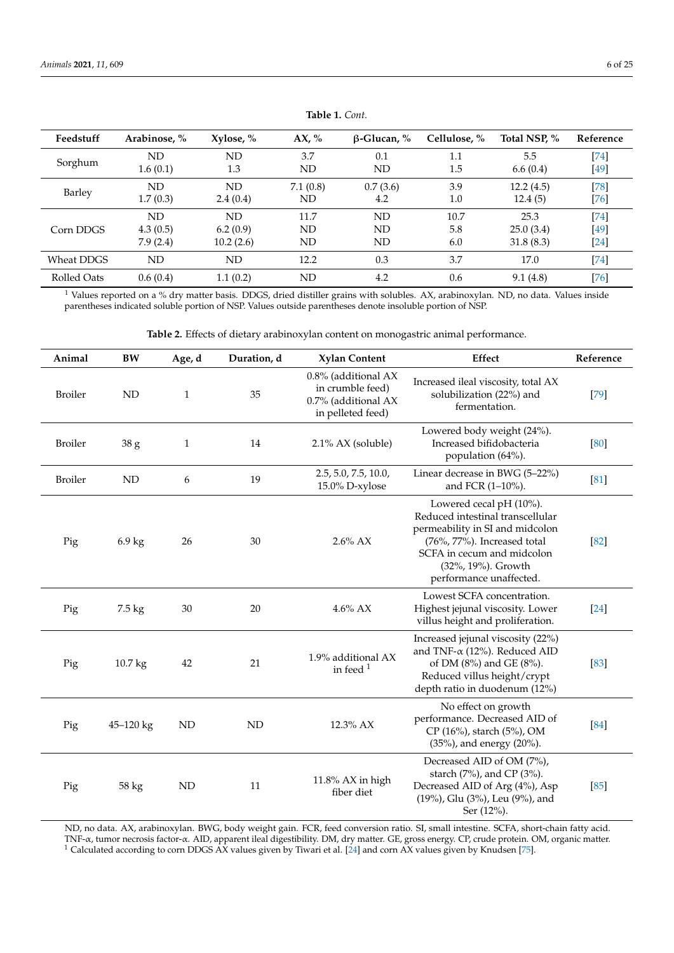<span id="page-5-0"></span>

| Feedstuff   | Arabinose, % | Xylose, % | AX, %    | $\beta$ -Glucan, % | Cellulose, % | Total NSP, % | Reference |
|-------------|--------------|-----------|----------|--------------------|--------------|--------------|-----------|
| Sorghum     | ND           | ND        | 3.7      | 0.1                | 1.1          | 5.5          | $[74]$    |
|             | 1.6(0.1)     | 1.3       | ND       | ND                 | 1.5          | 6.6(0.4)     | [49]      |
| Barley      | ND           | ND        | 7.1(0.8) | 0.7(3.6)           | 3.9          | 12.2(4.5)    | $[78]$    |
|             | 1.7(0.3)     | 2.4(0.4)  | ND       | 4.2                | 1.0          | 12.4(5)      | $[76]$    |
| Corn DDGS   | ND           | ND        | 11.7     | ND                 | 10.7         | 25.3         | $[74]$    |
|             | 4.3(0.5)     | 6.2(0.9)  | ND       | ND                 | 5.8          | 25.0(3.4)    | $[49]$    |
|             | 7.9(2.4)     | 10.2(2.6) | ND       | ND                 | 6.0          | 31.8(8.3)    | $[24]$    |
| Wheat DDGS  | ND           | ND        | 12.2     | 0.3                | 3.7          | 17.0         | [74]      |
| Rolled Oats | 0.6(0.4)     | 1.1(0.2)  | ND       | 4.2                | 0.6          | 9.1(4.8)     | $[76]$    |

**Table 1.** *Cont.*

<sup>1</sup> Values reported on a % dry matter basis. DDGS, dried distiller grains with solubles. AX, arabinoxylan. ND, no data. Values inside parentheses indicated soluble portion of NSP. Values outside parentheses denote insoluble portion of NSP.

**Table 2.** Effects of dietary arabinoxylan content on monogastric animal performance.

<span id="page-5-1"></span>

| Animal         | BW               | Age, d       | Duration, d | <b>Xylan Content</b>                                                                | Effect                                                                                                                                                                                                          | Reference |
|----------------|------------------|--------------|-------------|-------------------------------------------------------------------------------------|-----------------------------------------------------------------------------------------------------------------------------------------------------------------------------------------------------------------|-----------|
| <b>Broiler</b> | <b>ND</b>        | $\mathbf{1}$ | 35          | 0.8% (additional AX<br>in crumble feed)<br>0.7% (additional AX<br>in pelleted feed) | Increased ileal viscosity, total AX<br>solubilization (22%) and<br>fermentation.                                                                                                                                | $[79]$    |
| <b>Broiler</b> | 38 g             | $\mathbf 1$  | 14          | $2.1\%$ AX (soluble)                                                                | Lowered body weight (24%).<br>Increased bifidobacteria<br>population (64%).                                                                                                                                     | [80]      |
| <b>Broiler</b> | <b>ND</b>        | 6            | 19          | 2.5, 5.0, 7.5, 10.0,<br>15.0% D-xylose                                              | Linear decrease in BWG (5-22%)<br>and FCR (1-10%).                                                                                                                                                              | [81]      |
| Pig            | $6.9 \text{ kg}$ | 26           | 30          | $2.6\%$ AX                                                                          | Lowered cecal $pH(10\%)$ .<br>Reduced intestinal transcellular<br>permeability in SI and midcolon<br>(76%, 77%). Increased total<br>SCFA in cecum and midcolon<br>(32%, 19%). Growth<br>performance unaffected. | $[82]$    |
| Pig            | $7.5 \text{ kg}$ | 30           | 20          | $4.6\%$ AX                                                                          | Lowest SCFA concentration.<br>Highest jejunal viscosity. Lower<br>villus height and proliferation.                                                                                                              | $[24]$    |
| Pig            | 10.7 kg          | 42           | 21          | 1.9% additional AX<br>in feed $1$                                                   | Increased jejunal viscosity (22%)<br>and TNF- $\alpha$ (12%). Reduced AID<br>of DM (8%) and GE (8%).<br>Reduced villus height/crypt<br>depth ratio in duodenum (12%)                                            | $[83]$    |
| Pig            | 45-120 kg        | ND           | <b>ND</b>   | 12.3% AX                                                                            | No effect on growth<br>performance. Decreased AID of<br>CP (16%), starch (5%), OM<br>(35%), and energy (20%).                                                                                                   | [84]      |
| Pig            | 58 kg            | $\mbox{ND}$  | 11          | 11.8% AX in high<br>fiber diet                                                      | Decreased AID of OM (7%),<br>starch (7%), and CP (3%).<br>Decreased AID of Arg (4%), Asp<br>(19%), Glu (3%), Leu (9%), and<br>Ser (12%).                                                                        | [85]      |

ND, no data. AX, arabinoxylan. BWG, body weight gain. FCR, feed conversion ratio. SI, small intestine. SCFA, short-chain fatty acid. TNF-α, tumor necrosis factor-α. AID, apparent ileal digestibility. DM, dry matter. GE, gross energy. CP, crude protein. OM, organic matter.  $^1$  Calculated according to corn DDGS AX values given by Tiwari et al. [\[24\]](#page-17-14) and corn AX values given by Knudsen [\[75\]](#page-19-15).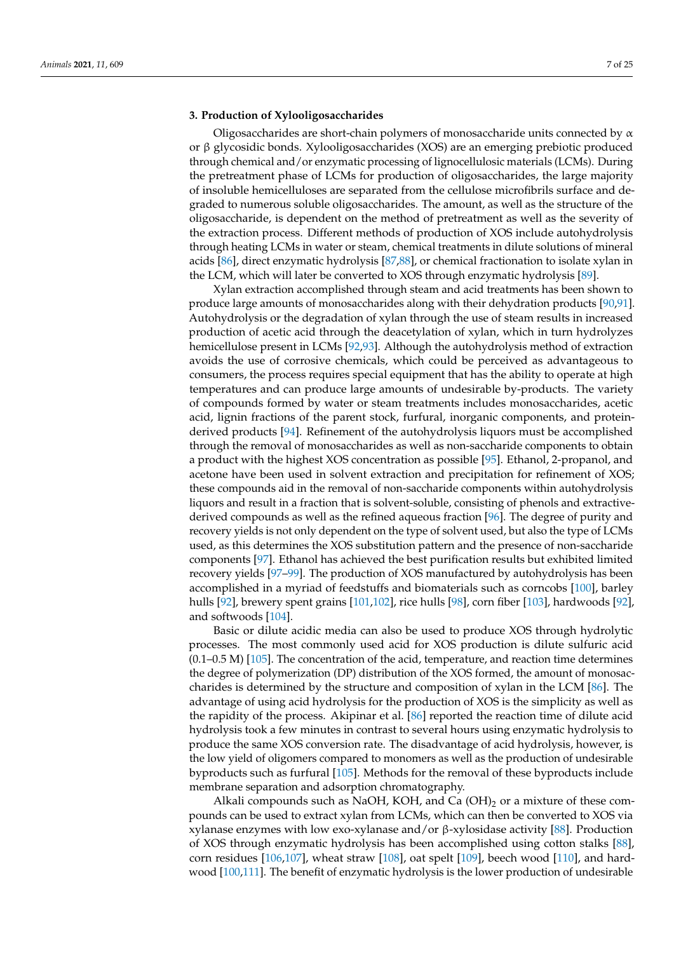## **3. Production of Xylooligosaccharides**

Oligosaccharides are short-chain polymers of monosaccharide units connected by  $\alpha$ or β glycosidic bonds. Xylooligosaccharides (XOS) are an emerging prebiotic produced through chemical and/or enzymatic processing of lignocellulosic materials (LCMs). During the pretreatment phase of LCMs for production of oligosaccharides, the large majority of insoluble hemicelluloses are separated from the cellulose microfibrils surface and degraded to numerous soluble oligosaccharides. The amount, as well as the structure of the oligosaccharide, is dependent on the method of pretreatment as well as the severity of the extraction process. Different methods of production of XOS include autohydrolysis through heating LCMs in water or steam, chemical treatments in dilute solutions of mineral acids [\[86\]](#page-20-1), direct enzymatic hydrolysis [\[87](#page-20-2)[,88\]](#page-20-3), or chemical fractionation to isolate xylan in the LCM, which will later be converted to XOS through enzymatic hydrolysis [\[89\]](#page-20-4).

Xylan extraction accomplished through steam and acid treatments has been shown to produce large amounts of monosaccharides along with their dehydration products [\[90](#page-20-5)[,91\]](#page-20-6). Autohydrolysis or the degradation of xylan through the use of steam results in increased production of acetic acid through the deacetylation of xylan, which in turn hydrolyzes hemicellulose present in LCMs [\[92,](#page-20-7)[93\]](#page-20-8). Although the autohydrolysis method of extraction avoids the use of corrosive chemicals, which could be perceived as advantageous to consumers, the process requires special equipment that has the ability to operate at high temperatures and can produce large amounts of undesirable by-products. The variety of compounds formed by water or steam treatments includes monosaccharides, acetic acid, lignin fractions of the parent stock, furfural, inorganic components, and proteinderived products [\[94\]](#page-20-9). Refinement of the autohydrolysis liquors must be accomplished through the removal of monosaccharides as well as non-saccharide components to obtain a product with the highest XOS concentration as possible [\[95\]](#page-20-10). Ethanol, 2-propanol, and acetone have been used in solvent extraction and precipitation for refinement of XOS; these compounds aid in the removal of non-saccharide components within autohydrolysis liquors and result in a fraction that is solvent-soluble, consisting of phenols and extractivederived compounds as well as the refined aqueous fraction [\[96\]](#page-20-11). The degree of purity and recovery yields is not only dependent on the type of solvent used, but also the type of LCMs used, as this determines the XOS substitution pattern and the presence of non-saccharide components [\[97\]](#page-20-12). Ethanol has achieved the best purification results but exhibited limited recovery yields [\[97](#page-20-12)[–99\]](#page-20-13). The production of XOS manufactured by autohydrolysis has been accomplished in a myriad of feedstuffs and biomaterials such as corncobs [\[100\]](#page-20-14), barley hulls [\[92\]](#page-20-7), brewery spent grains [\[101,](#page-20-15)[102\]](#page-20-16), rice hulls [\[98\]](#page-20-17), corn fiber [\[103\]](#page-20-18), hardwoods [92], and softwoods [\[104\]](#page-20-19).

Basic or dilute acidic media can also be used to produce XOS through hydrolytic processes. The most commonly used acid for XOS production is dilute sulfuric acid (0.1–0.5 M) [\[105\]](#page-20-20). The concentration of the acid, temperature, and reaction time determines the degree of polymerization (DP) distribution of the XOS formed, the amount of monosaccharides is determined by the structure and composition of xylan in the LCM [\[86\]](#page-20-1). The advantage of using acid hydrolysis for the production of XOS is the simplicity as well as the rapidity of the process. Akipinar et al. [\[86\]](#page-20-1) reported the reaction time of dilute acid hydrolysis took a few minutes in contrast to several hours using enzymatic hydrolysis to produce the same XOS conversion rate. The disadvantage of acid hydrolysis, however, is the low yield of oligomers compared to monomers as well as the production of undesirable byproducts such as furfural [\[105\]](#page-20-20). Methods for the removal of these byproducts include membrane separation and adsorption chromatography.

Alkali compounds such as NaOH, KOH, and Ca  $(OH)_2$  or a mixture of these compounds can be used to extract xylan from LCMs, which can then be converted to XOS via xylanase enzymes with low exo-xylanase and/or β-xylosidase activity [\[88\]](#page-20-3). Production of XOS through enzymatic hydrolysis has been accomplished using cotton stalks [\[88\]](#page-20-3), corn residues [\[106,](#page-20-21)[107\]](#page-20-22), wheat straw [\[108\]](#page-20-23), oat spelt [\[109\]](#page-20-24), beech wood [\[110\]](#page-20-25), and hardwood [\[100,](#page-20-14)[111\]](#page-20-26). The benefit of enzymatic hydrolysis is the lower production of undesirable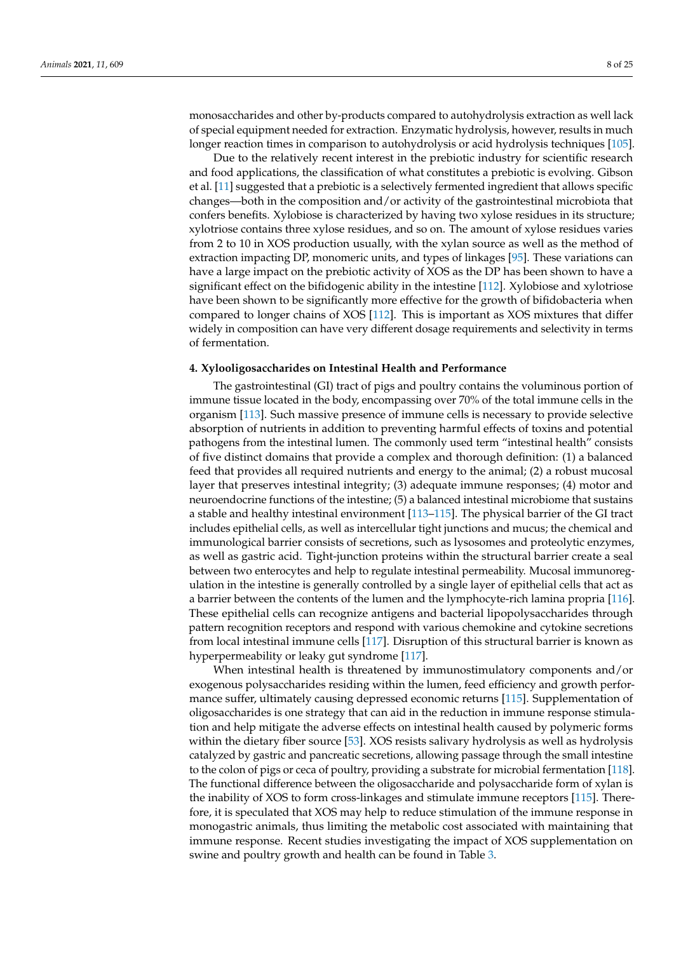monosaccharides and other by-products compared to autohydrolysis extraction as well lack of special equipment needed for extraction. Enzymatic hydrolysis, however, results in much longer reaction times in comparison to autohydrolysis or acid hydrolysis techniques [\[105\]](#page-20-20).

Due to the relatively recent interest in the prebiotic industry for scientific research and food applications, the classification of what constitutes a prebiotic is evolving. Gibson et al. [\[11\]](#page-17-5) suggested that a prebiotic is a selectively fermented ingredient that allows specific changes—both in the composition and/or activity of the gastrointestinal microbiota that confers benefits. Xylobiose is characterized by having two xylose residues in its structure; xylotriose contains three xylose residues, and so on. The amount of xylose residues varies from 2 to 10 in XOS production usually, with the xylan source as well as the method of extraction impacting DP, monomeric units, and types of linkages [\[95\]](#page-20-10). These variations can have a large impact on the prebiotic activity of XOS as the DP has been shown to have a significant effect on the bifidogenic ability in the intestine [\[112\]](#page-20-27). Xylobiose and xylotriose have been shown to be significantly more effective for the growth of bifidobacteria when compared to longer chains of XOS [\[112\]](#page-20-27). This is important as XOS mixtures that differ widely in composition can have very different dosage requirements and selectivity in terms of fermentation.

## **4. Xylooligosaccharides on Intestinal Health and Performance**

The gastrointestinal (GI) tract of pigs and poultry contains the voluminous portion of immune tissue located in the body, encompassing over 70% of the total immune cells in the organism [\[113\]](#page-21-0). Such massive presence of immune cells is necessary to provide selective absorption of nutrients in addition to preventing harmful effects of toxins and potential pathogens from the intestinal lumen. The commonly used term "intestinal health" consists of five distinct domains that provide a complex and thorough definition: (1) a balanced feed that provides all required nutrients and energy to the animal; (2) a robust mucosal layer that preserves intestinal integrity; (3) adequate immune responses; (4) motor and neuroendocrine functions of the intestine; (5) a balanced intestinal microbiome that sustains a stable and healthy intestinal environment [\[113–](#page-21-0)[115\]](#page-21-1). The physical barrier of the GI tract includes epithelial cells, as well as intercellular tight junctions and mucus; the chemical and immunological barrier consists of secretions, such as lysosomes and proteolytic enzymes, as well as gastric acid. Tight-junction proteins within the structural barrier create a seal between two enterocytes and help to regulate intestinal permeability. Mucosal immunoregulation in the intestine is generally controlled by a single layer of epithelial cells that act as a barrier between the contents of the lumen and the lymphocyte-rich lamina propria [\[116\]](#page-21-2). These epithelial cells can recognize antigens and bacterial lipopolysaccharides through pattern recognition receptors and respond with various chemokine and cytokine secretions from local intestinal immune cells [\[117\]](#page-21-3). Disruption of this structural barrier is known as hyperpermeability or leaky gut syndrome [\[117\]](#page-21-3).

When intestinal health is threatened by immunostimulatory components and/or exogenous polysaccharides residing within the lumen, feed efficiency and growth performance suffer, ultimately causing depressed economic returns [\[115\]](#page-21-1). Supplementation of oligosaccharides is one strategy that can aid in the reduction in immune response stimulation and help mitigate the adverse effects on intestinal health caused by polymeric forms within the dietary fiber source [\[53\]](#page-18-18). XOS resists salivary hydrolysis as well as hydrolysis catalyzed by gastric and pancreatic secretions, allowing passage through the small intestine to the colon of pigs or ceca of poultry, providing a substrate for microbial fermentation [\[118\]](#page-21-4). The functional difference between the oligosaccharide and polysaccharide form of xylan is the inability of XOS to form cross-linkages and stimulate immune receptors [\[115\]](#page-21-1). Therefore, it is speculated that XOS may help to reduce stimulation of the immune response in monogastric animals, thus limiting the metabolic cost associated with maintaining that immune response. Recent studies investigating the impact of XOS supplementation on swine and poultry growth and health can be found in Table [3.](#page-10-0)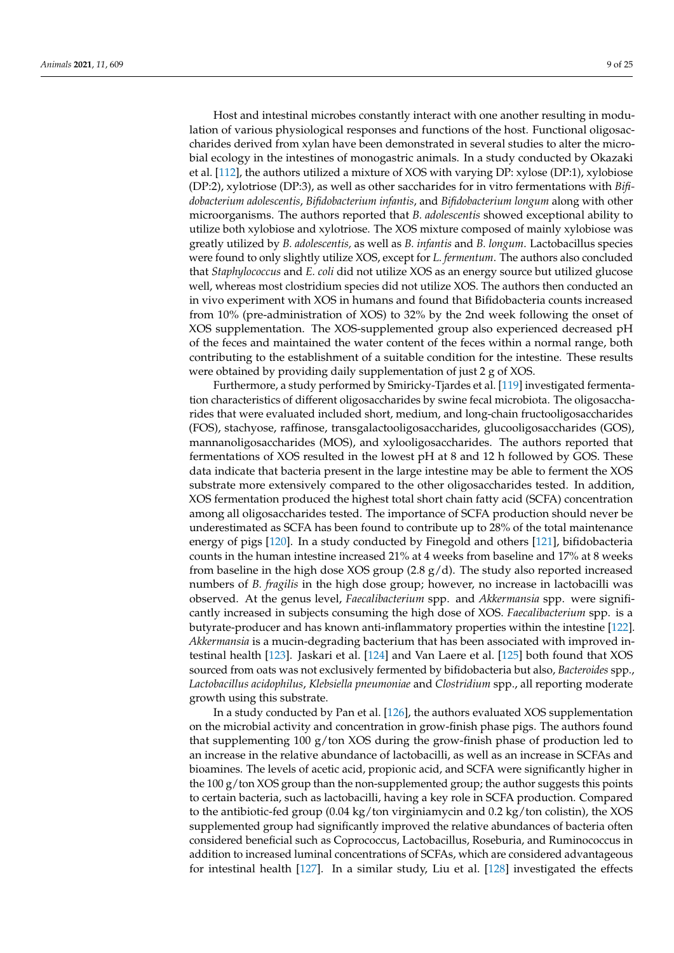Host and intestinal microbes constantly interact with one another resulting in modulation of various physiological responses and functions of the host. Functional oligosaccharides derived from xylan have been demonstrated in several studies to alter the microbial ecology in the intestines of monogastric animals. In a study conducted by Okazaki et al. [\[112\]](#page-20-27), the authors utilized a mixture of XOS with varying DP: xylose (DP:1), xylobiose (DP:2), xylotriose (DP:3), as well as other saccharides for in vitro fermentations with *Bifidobacterium adolescentis*, *Bifidobacterium infantis*, and *Bifidobacterium longum* along with other microorganisms. The authors reported that *B. adolescentis* showed exceptional ability to utilize both xylobiose and xylotriose. The XOS mixture composed of mainly xylobiose was greatly utilized by *B. adolescentis,* as well as *B. infantis* and *B. longum*. Lactobacillus species were found to only slightly utilize XOS, except for *L. fermentum*. The authors also concluded that *Staphylococcus* and *E. coli* did not utilize XOS as an energy source but utilized glucose well, whereas most clostridium species did not utilize XOS. The authors then conducted an in vivo experiment with XOS in humans and found that Bifidobacteria counts increased from 10% (pre-administration of XOS) to 32% by the 2nd week following the onset of XOS supplementation. The XOS-supplemented group also experienced decreased pH of the feces and maintained the water content of the feces within a normal range, both contributing to the establishment of a suitable condition for the intestine. These results were obtained by providing daily supplementation of just 2 g of XOS.

Furthermore, a study performed by Smiricky-Tjardes et al. [\[119\]](#page-21-5) investigated fermentation characteristics of different oligosaccharides by swine fecal microbiota. The oligosaccharides that were evaluated included short, medium, and long-chain fructooligosaccharides (FOS), stachyose, raffinose, transgalactooligosaccharides, glucooligosaccharides (GOS), mannanoligosaccharides (MOS), and xylooligosaccharides. The authors reported that fermentations of XOS resulted in the lowest pH at 8 and 12 h followed by GOS. These data indicate that bacteria present in the large intestine may be able to ferment the XOS substrate more extensively compared to the other oligosaccharides tested. In addition, XOS fermentation produced the highest total short chain fatty acid (SCFA) concentration among all oligosaccharides tested. The importance of SCFA production should never be underestimated as SCFA has been found to contribute up to 28% of the total maintenance energy of pigs [\[120\]](#page-21-6). In a study conducted by Finegold and others [\[121\]](#page-21-7), bifidobacteria counts in the human intestine increased 21% at 4 weeks from baseline and 17% at 8 weeks from baseline in the high dose XOS group  $(2.8 \text{ g/d})$ . The study also reported increased numbers of *B. fragilis* in the high dose group; however, no increase in lactobacilli was observed. At the genus level, *Faecalibacterium* spp. and *Akkermansia* spp. were significantly increased in subjects consuming the high dose of XOS. *Faecalibacterium* spp. is a butyrate-producer and has known anti-inflammatory properties within the intestine [\[122\]](#page-21-8). *Akkermansia* is a mucin-degrading bacterium that has been associated with improved intestinal health [\[123\]](#page-21-9). Jaskari et al. [\[124\]](#page-21-10) and Van Laere et al. [\[125\]](#page-21-11) both found that XOS sourced from oats was not exclusively fermented by bifidobacteria but also, *Bacteroides* spp., *Lactobacillus acidophilus*, *Klebsiella pneumoniae* and *Clostridium* spp., all reporting moderate growth using this substrate.

In a study conducted by Pan et al. [\[126\]](#page-21-12), the authors evaluated XOS supplementation on the microbial activity and concentration in grow-finish phase pigs. The authors found that supplementing 100 g/ton XOS during the grow-finish phase of production led to an increase in the relative abundance of lactobacilli, as well as an increase in SCFAs and bioamines. The levels of acetic acid, propionic acid, and SCFA were significantly higher in the  $100 g/t$  on XOS group than the non-supplemented group; the author suggests this points to certain bacteria, such as lactobacilli, having a key role in SCFA production. Compared to the antibiotic-fed group  $(0.04 \text{ kg/ton}$  virginiamycin and  $0.2 \text{ kg/ton}$  colistin), the XOS supplemented group had significantly improved the relative abundances of bacteria often considered beneficial such as Coprococcus, Lactobacillus, Roseburia, and Ruminococcus in addition to increased luminal concentrations of SCFAs, which are considered advantageous for intestinal health [\[127\]](#page-21-13). In a similar study, Liu et al. [\[128\]](#page-21-14) investigated the effects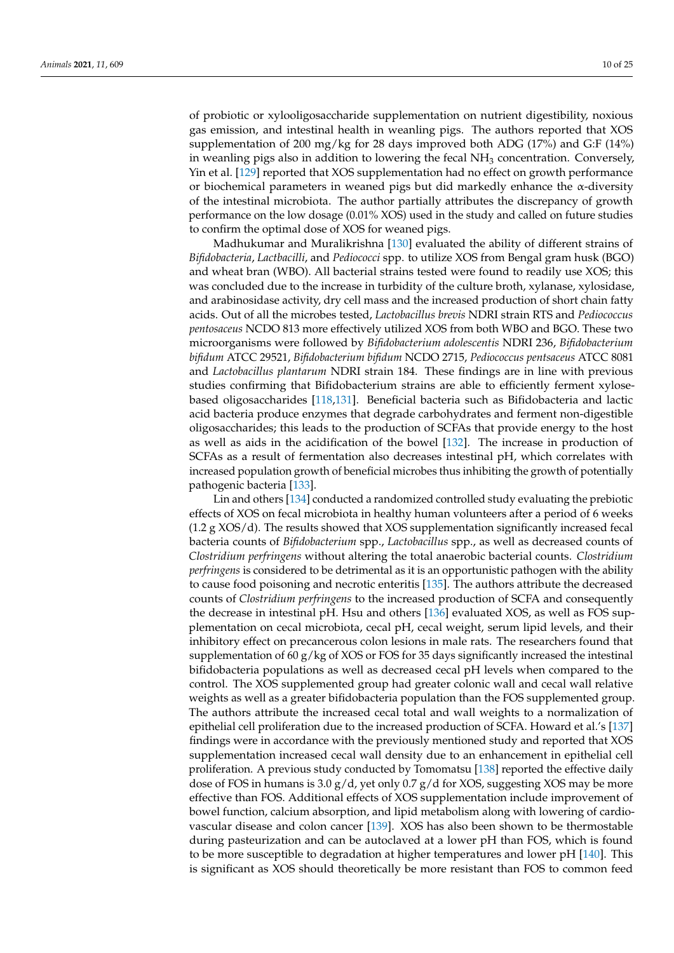of probiotic or xylooligosaccharide supplementation on nutrient digestibility, noxious gas emission, and intestinal health in weanling pigs. The authors reported that XOS supplementation of 200 mg/kg for 28 days improved both ADG (17%) and G:F (14%) in weanling pigs also in addition to lowering the fecal  $NH<sub>3</sub>$  concentration. Conversely, Yin et al. [\[129\]](#page-21-15) reported that XOS supplementation had no effect on growth performance or biochemical parameters in weaned pigs but did markedly enhance the  $\alpha$ -diversity of the intestinal microbiota. The author partially attributes the discrepancy of growth performance on the low dosage (0.01% XOS) used in the study and called on future studies to confirm the optimal dose of XOS for weaned pigs.

Madhukumar and Muralikrishna [\[130\]](#page-21-16) evaluated the ability of different strains of *Bifidobacteria*, *Lactbacilli*, and *Pediococci* spp. to utilize XOS from Bengal gram husk (BGO) and wheat bran (WBO). All bacterial strains tested were found to readily use XOS; this was concluded due to the increase in turbidity of the culture broth, xylanase, xylosidase, and arabinosidase activity, dry cell mass and the increased production of short chain fatty acids. Out of all the microbes tested, *Lactobacillus brevis* NDRI strain RTS and *Pediococcus pentosaceus* NCDO 813 more effectively utilized XOS from both WBO and BGO. These two microorganisms were followed by *Bifidobacterium adolescentis* NDRI 236, *Bifidobacterium bifidum* ATCC 29521, *Bifidobacterium bifidum* NCDO 2715, *Pediococcus pentsaceus* ATCC 8081 and *Lactobacillus plantarum* NDRI strain 184. These findings are in line with previous studies confirming that Bifidobacterium strains are able to efficiently ferment xylosebased oligosaccharides [\[118,](#page-21-4)[131\]](#page-21-17). Beneficial bacteria such as Bifidobacteria and lactic acid bacteria produce enzymes that degrade carbohydrates and ferment non-digestible oligosaccharides; this leads to the production of SCFAs that provide energy to the host as well as aids in the acidification of the bowel [\[132\]](#page-21-18). The increase in production of SCFAs as a result of fermentation also decreases intestinal pH, which correlates with increased population growth of beneficial microbes thus inhibiting the growth of potentially pathogenic bacteria [\[133\]](#page-21-19).

Lin and others [\[134\]](#page-21-20) conducted a randomized controlled study evaluating the prebiotic effects of XOS on fecal microbiota in healthy human volunteers after a period of 6 weeks (1.2 g XOS/d). The results showed that XOS supplementation significantly increased fecal bacteria counts of *Bifidobacterium* spp., *Lactobacillus* spp., as well as decreased counts of *Clostridium perfringens* without altering the total anaerobic bacterial counts. *Clostridium perfringens* is considered to be detrimental as it is an opportunistic pathogen with the ability to cause food poisoning and necrotic enteritis [\[135\]](#page-21-21). The authors attribute the decreased counts of *Clostridium perfringens* to the increased production of SCFA and consequently the decrease in intestinal pH. Hsu and others [\[136\]](#page-21-22) evaluated XOS, as well as FOS supplementation on cecal microbiota, cecal pH, cecal weight, serum lipid levels, and their inhibitory effect on precancerous colon lesions in male rats. The researchers found that supplementation of 60  $g/kg$  of XOS or FOS for 35 days significantly increased the intestinal bifidobacteria populations as well as decreased cecal pH levels when compared to the control. The XOS supplemented group had greater colonic wall and cecal wall relative weights as well as a greater bifidobacteria population than the FOS supplemented group. The authors attribute the increased cecal total and wall weights to a normalization of epithelial cell proliferation due to the increased production of SCFA. Howard et al.'s [\[137\]](#page-21-23) findings were in accordance with the previously mentioned study and reported that XOS supplementation increased cecal wall density due to an enhancement in epithelial cell proliferation. A previous study conducted by Tomomatsu [\[138\]](#page-21-24) reported the effective daily dose of FOS in humans is 3.0  $g/d$ , yet only 0.7  $g/d$  for XOS, suggesting XOS may be more effective than FOS. Additional effects of XOS supplementation include improvement of bowel function, calcium absorption, and lipid metabolism along with lowering of cardiovascular disease and colon cancer [\[139\]](#page-21-25). XOS has also been shown to be thermostable during pasteurization and can be autoclaved at a lower pH than FOS, which is found to be more susceptible to degradation at higher temperatures and lower pH [\[140\]](#page-21-26). This is significant as XOS should theoretically be more resistant than FOS to common feed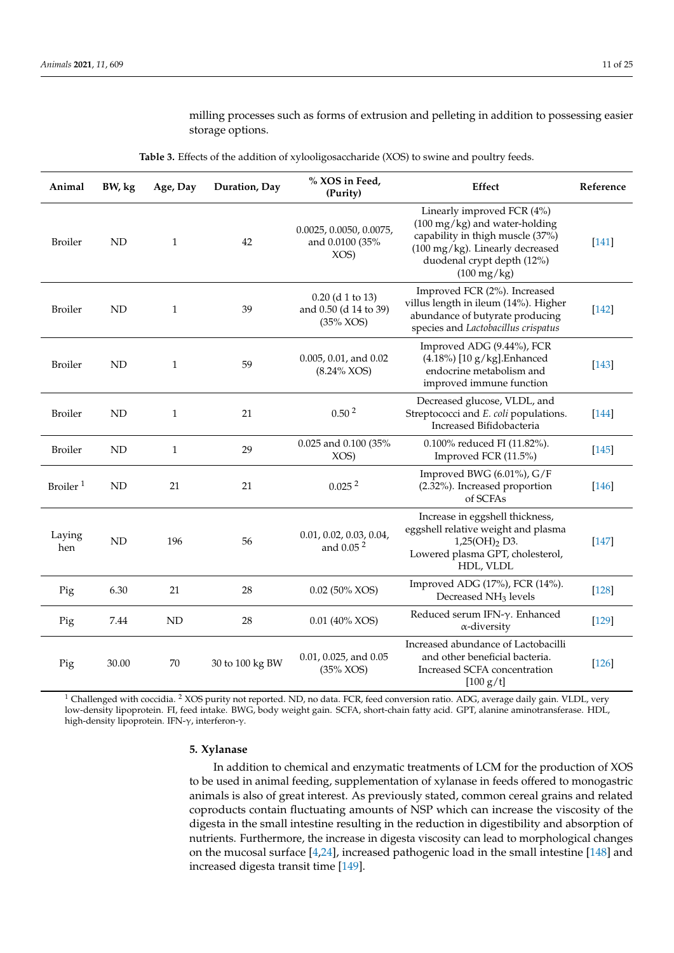# milling processes such as forms of extrusion and pelleting in addition to possessing easier storage options.

<span id="page-10-0"></span>

| Animal               | BW, kg    | Age, Day     | Duration, Day   | % XOS in Feed,<br>(Purity)                                  | Effect                                                                                                                                                                                              | Reference |
|----------------------|-----------|--------------|-----------------|-------------------------------------------------------------|-----------------------------------------------------------------------------------------------------------------------------------------------------------------------------------------------------|-----------|
| <b>Broiler</b>       | ND        | 1            | 42              | 0.0025, 0.0050, 0.0075,<br>and 0.0100 (35%<br>XOS)          | Linearly improved FCR (4%)<br>$(100 \text{ mg/kg})$ and water-holding<br>capability in thigh muscle (37%)<br>(100 mg/kg). Linearly decreased<br>duodenal crypt depth (12%)<br>$(100 \text{ mg/kg})$ | $[141]$   |
| <b>Broiler</b>       | <b>ND</b> | $\mathbf{1}$ | 39              | $0.20$ (d 1 to 13)<br>and 0.50 (d 14 to 39)<br>$(35\%$ XOS) | Improved FCR (2%). Increased<br>villus length in ileum (14%). Higher<br>abundance of butyrate producing<br>species and Lactobacillus crispatus                                                      | $[142]$   |
| <b>Broiler</b>       | <b>ND</b> | 1            | 59              | 0.005, 0.01, and 0.02<br>$(8.24\%$ XOS)                     | Improved ADG (9.44%), FCR<br>$(4.18\%)$ [10 g/kg]. Enhanced<br>endocrine metabolism and<br>improved immune function                                                                                 | $[143]$   |
| <b>Broiler</b>       | <b>ND</b> | 1            | 21              | 0.50 <sup>2</sup>                                           | Decreased glucose, VLDL, and<br>Streptococci and E. coli populations.<br>Increased Bifidobacteria                                                                                                   | $[144]$   |
| <b>Broiler</b>       | <b>ND</b> | $\mathbf{1}$ | 29              | 0.025 and 0.100 (35%<br>XOS)                                | 0.100% reduced FI (11.82%).<br>Improved FCR (11.5%)                                                                                                                                                 | $[145]$   |
| Broiler <sup>1</sup> | <b>ND</b> | 21           | 21              | 0.025 <sup>2</sup>                                          | Improved BWG (6.01%), G/F<br>(2.32%). Increased proportion<br>of SCFAs                                                                                                                              | $[146]$   |
| Laying<br>hen        | <b>ND</b> | 196          | 56              | 0.01, 0.02, 0.03, 0.04,<br>and 0.05 <sup>2</sup>            | Increase in eggshell thickness,<br>eggshell relative weight and plasma<br>1,25(OH) <sub>2</sub> D3.<br>Lowered plasma GPT, cholesterol,<br>HDL, VLDL                                                | $[147]$   |
| Pig                  | 6.30      | 21           | 28              | $0.02$ (50% XOS)                                            | Improved ADG (17%), FCR (14%).<br>Decreased NH <sub>3</sub> levels                                                                                                                                  | $[128]$   |
| Pig                  | 7.44      | <b>ND</b>    | 28              | $0.01$ (40% XOS)                                            | Reduced serum IFN-γ. Enhanced<br>$\alpha$ -diversity                                                                                                                                                | $[129]$   |
| Pig                  | 30.00     | 70           | 30 to 100 kg BW | $0.01, 0.025,$ and $0.05$<br>$(35\%$ XOS)                   | Increased abundance of Lactobacilli<br>and other beneficial bacteria.<br>Increased SCFA concentration<br>$[100 \text{ g}/\text{t}]$                                                                 | $[126]$   |

|  |  |  |  |  |  |  |  |  |  |  |  |  | <b>Table 3.</b> Effects of the addition of xylooligosaccharide (XOS) to swine and poultry feeds. |  |  |  |  |
|--|--|--|--|--|--|--|--|--|--|--|--|--|--------------------------------------------------------------------------------------------------|--|--|--|--|
|--|--|--|--|--|--|--|--|--|--|--|--|--|--------------------------------------------------------------------------------------------------|--|--|--|--|

<sup>1</sup> Challenged with coccidia. <sup>2</sup> XOS purity not reported. ND, no data. FCR, feed conversion ratio. ADG, average daily gain. VLDL, very low-density lipoprotein. FI, feed intake. BWG, body weight gain. SCFA, short-chain fatty acid. GPT, alanine aminotransferase. HDL, high-density lipoprotein. IFN-γ, interferon-γ.

#### **5. Xylanase**

In addition to chemical and enzymatic treatments of LCM for the production of XOS to be used in animal feeding, supplementation of xylanase in feeds offered to monogastric animals is also of great interest. As previously stated, common cereal grains and related coproducts contain fluctuating amounts of NSP which can increase the viscosity of the digesta in the small intestine resulting in the reduction in digestibility and absorption of nutrients. Furthermore, the increase in digesta viscosity can lead to morphological changes on the mucosal surface [\[4,](#page-16-3)[24\]](#page-17-14), increased pathogenic load in the small intestine [\[148\]](#page-22-7) and increased digesta transit time [\[149\]](#page-22-8).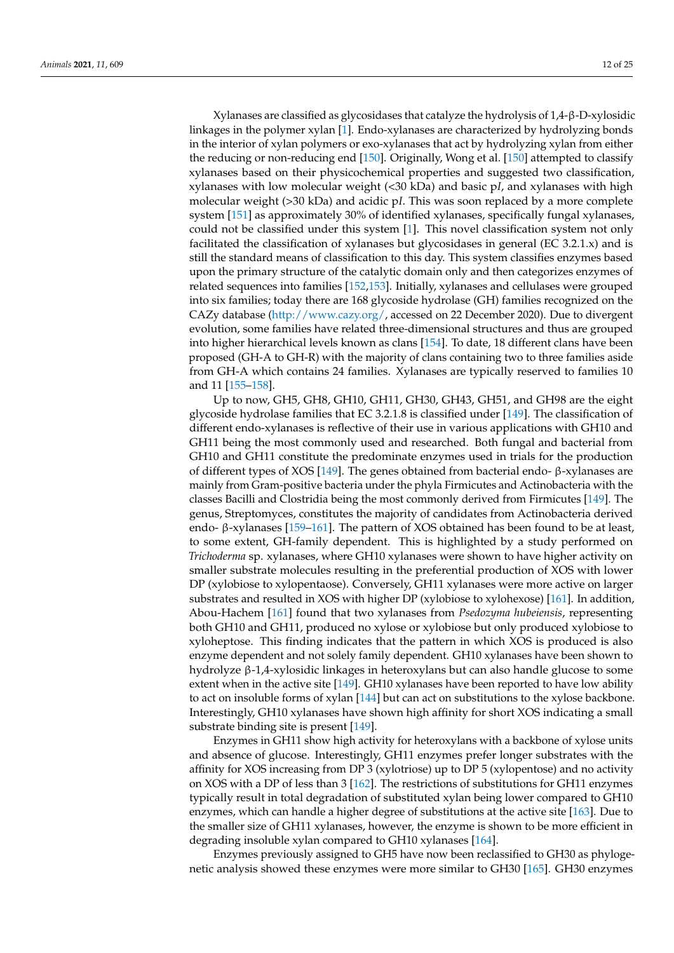Xylanases are classified as glycosidases that catalyze the hydrolysis of 1,4-β-D-xylosidic linkages in the polymer xylan [\[1\]](#page-16-0). Endo-xylanases are characterized by hydrolyzing bonds in the interior of xylan polymers or exo-xylanases that act by hydrolyzing xylan from either the reducing or non-reducing end [\[150\]](#page-22-9). Originally, Wong et al. [\[150\]](#page-22-9) attempted to classify xylanases based on their physicochemical properties and suggested two classification, xylanases with low molecular weight (<30 kDa) and basic p*I*, and xylanases with high molecular weight (>30 kDa) and acidic p*I*. This was soon replaced by a more complete system [\[151\]](#page-22-10) as approximately 30% of identified xylanases, specifically fungal xylanases, could not be classified under this system [\[1\]](#page-16-0). This novel classification system not only facilitated the classification of xylanases but glycosidases in general (EC 3.2.1.x) and is still the standard means of classification to this day. This system classifies enzymes based upon the primary structure of the catalytic domain only and then categorizes enzymes of related sequences into families [\[152,](#page-22-11)[153\]](#page-22-12). Initially, xylanases and cellulases were grouped into six families; today there are 168 glycoside hydrolase (GH) families recognized on the CAZy database [\(http://www.cazy.org/,](http://www.cazy.org/) accessed on 22 December 2020). Due to divergent evolution, some families have related three-dimensional structures and thus are grouped into higher hierarchical levels known as clans [\[154\]](#page-22-13). To date, 18 different clans have been proposed (GH-A to GH-R) with the majority of clans containing two to three families aside from GH-A which contains 24 families. Xylanases are typically reserved to families 10 and 11 [\[155](#page-22-14)[–158\]](#page-22-15).

Up to now, GH5, GH8, GH10, GH11, GH30, GH43, GH51, and GH98 are the eight glycoside hydrolase families that EC 3.2.1.8 is classified under [\[149\]](#page-22-8). The classification of different endo-xylanases is reflective of their use in various applications with GH10 and GH11 being the most commonly used and researched. Both fungal and bacterial from GH10 and GH11 constitute the predominate enzymes used in trials for the production of different types of XOS [\[149\]](#page-22-8). The genes obtained from bacterial endo- β-xylanases are mainly from Gram-positive bacteria under the phyla Firmicutes and Actinobacteria with the classes Bacilli and Clostridia being the most commonly derived from Firmicutes [\[149\]](#page-22-8). The genus, Streptomyces, constitutes the majority of candidates from Actinobacteria derived endo- β-xylanases [\[159](#page-22-16)[–161\]](#page-22-17). The pattern of XOS obtained has been found to be at least, to some extent, GH-family dependent. This is highlighted by a study performed on *Trichoderma* sp. xylanases, where GH10 xylanases were shown to have higher activity on smaller substrate molecules resulting in the preferential production of XOS with lower DP (xylobiose to xylopentaose). Conversely, GH11 xylanases were more active on larger substrates and resulted in XOS with higher DP (xylobiose to xylohexose) [\[161\]](#page-22-17). In addition, Abou-Hachem [\[161\]](#page-22-17) found that two xylanases from *Psedozyma hubeiensis*, representing both GH10 and GH11, produced no xylose or xylobiose but only produced xylobiose to xyloheptose. This finding indicates that the pattern in which XOS is produced is also enzyme dependent and not solely family dependent. GH10 xylanases have been shown to hydrolyze β-1,4-xylosidic linkages in heteroxylans but can also handle glucose to some extent when in the active site [\[149\]](#page-22-8). GH10 xylanases have been reported to have low ability to act on insoluble forms of xylan [\[144\]](#page-22-3) but can act on substitutions to the xylose backbone. Interestingly, GH10 xylanases have shown high affinity for short XOS indicating a small substrate binding site is present [\[149\]](#page-22-8).

Enzymes in GH11 show high activity for heteroxylans with a backbone of xylose units and absence of glucose. Interestingly, GH11 enzymes prefer longer substrates with the affinity for XOS increasing from DP 3 (xylotriose) up to DP 5 (xylopentose) and no activity on XOS with a DP of less than 3 [\[162\]](#page-22-18). The restrictions of substitutions for GH11 enzymes typically result in total degradation of substituted xylan being lower compared to GH10 enzymes, which can handle a higher degree of substitutions at the active site [\[163\]](#page-22-19). Due to the smaller size of GH11 xylanases, however, the enzyme is shown to be more efficient in degrading insoluble xylan compared to GH10 xylanases [\[164\]](#page-22-20).

Enzymes previously assigned to GH5 have now been reclassified to GH30 as phylogenetic analysis showed these enzymes were more similar to GH30 [\[165\]](#page-22-21). GH30 enzymes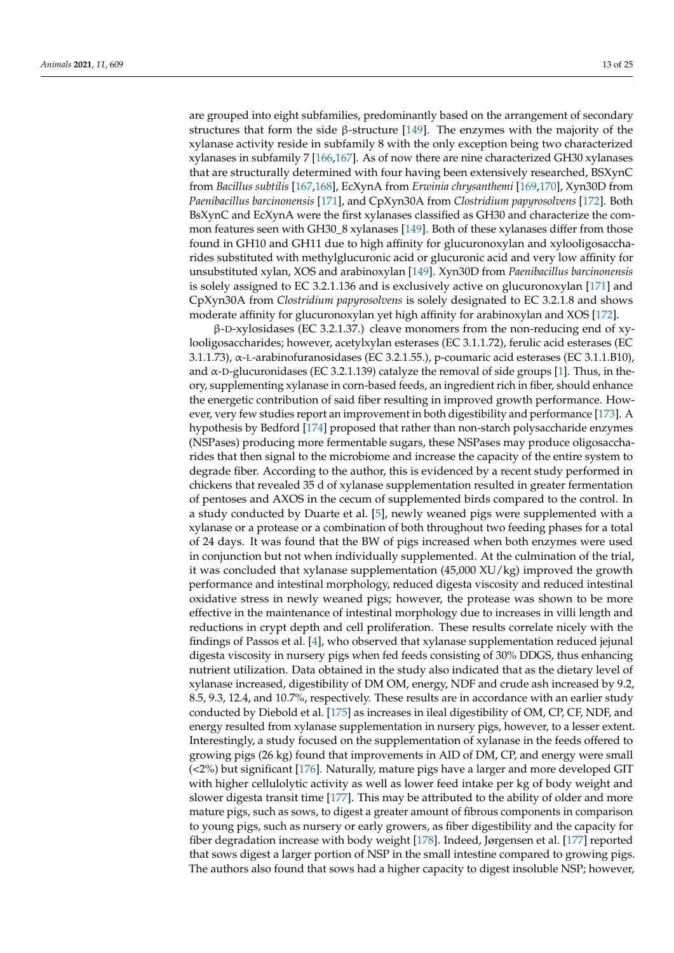are grouped into eight subfamilies, predominantly based on the arrangement of secondary structures that form the side  $\beta$ -structure [\[149\]](#page-22-8). The enzymes with the majority of the xylanase activity reside in subfamily 8 with the only exception being two characterized xylanases in subfamily 7 [\[166](#page-22-22)[,167\]](#page-22-23). As of now there are nine characterized GH30 xylanases that are structurally determined with four having been extensively researched, BSXynC from *Bacillus subtilis* [\[167](#page-22-23)[,168\]](#page-23-0), EcXynA from *Erwinia chrysanthemi* [\[169,](#page-23-1)[170\]](#page-23-2), Xyn30D from *Paenibacillus barcinonensis* [\[171\]](#page-23-3), and CpXyn30A from *Clostridium papyrosolvens* [\[172\]](#page-23-4). Both BsXynC and EcXynA were the first xylanases classified as GH30 and characterize the common features seen with GH30\_8 xylanases [\[149\]](#page-22-8). Both of these xylanases differ from those found in GH10 and GH11 due to high affinity for glucuronoxylan and xylooligosaccharides substituted with methylglucuronic acid or glucuronic acid and very low affinity for unsubstituted xylan, XOS and arabinoxylan [\[149\]](#page-22-8). Xyn30D from *Paenibacillus barcinonensis* is solely assigned to EC 3.2.1.136 and is exclusively active on glucuronoxylan [\[171\]](#page-23-3) and CpXyn30A from *Clostridium papyrosolvens* is solely designated to EC 3.2.1.8 and shows moderate affinity for glucuronoxylan yet high affinity for arabinoxylan and XOS [\[172\]](#page-23-4).

 $β$ -D-xylosidases (EC 3.2.1.37.) cleave monomers from the non-reducing end of xylooligosaccharides; however, acetylxylan esterases (EC 3.1.1.72), ferulic acid esterases (EC 3.1.1.73),  $\alpha$ -L-arabinofuranosidases (EC 3.2.1.55.), p-coumaric acid esterases (EC 3.1.1.B10), and  $\alpha$ -D-glucuronidases (EC 3.2.1.139) catalyze the removal of side groups [\[1\]](#page-16-0). Thus, in theory, supplementing xylanase in corn-based feeds, an ingredient rich in fiber, should enhance the energetic contribution of said fiber resulting in improved growth performance. However, very few studies report an improvement in both digestibility and performance [\[173\]](#page-23-5). A hypothesis by Bedford [\[174\]](#page-23-6) proposed that rather than non-starch polysaccharide enzymes (NSPases) producing more fermentable sugars, these NSPases may produce oligosaccharides that then signal to the microbiome and increase the capacity of the entire system to degrade fiber. According to the author, this is evidenced by a recent study performed in chickens that revealed 35 d of xylanase supplementation resulted in greater fermentation of pentoses and AXOS in the cecum of supplemented birds compared to the control. In a study conducted by Duarte et al. [\[5\]](#page-17-25), newly weaned pigs were supplemented with a xylanase or a protease or a combination of both throughout two feeding phases for a total of 24 days. It was found that the BW of pigs increased when both enzymes were used in conjunction but not when individually supplemented. At the culmination of the trial, it was concluded that xylanase supplementation (45,000 XU/kg) improved the growth performance and intestinal morphology, reduced digesta viscosity and reduced intestinal oxidative stress in newly weaned pigs; however, the protease was shown to be more effective in the maintenance of intestinal morphology due to increases in villi length and reductions in crypt depth and cell proliferation. These results correlate nicely with the findings of Passos et al. [\[4\]](#page-16-3), who observed that xylanase supplementation reduced jejunal digesta viscosity in nursery pigs when fed feeds consisting of 30% DDGS, thus enhancing nutrient utilization. Data obtained in the study also indicated that as the dietary level of xylanase increased, digestibility of DM OM, energy, NDF and crude ash increased by 9.2, 8.5, 9.3, 12.4, and 10.7%, respectively. These results are in accordance with an earlier study conducted by Diebold et al. [\[175\]](#page-23-7) as increases in ileal digestibility of OM, CP, CF, NDF, and energy resulted from xylanase supplementation in nursery pigs, however, to a lesser extent. Interestingly, a study focused on the supplementation of xylanase in the feeds offered to growing pigs (26 kg) found that improvements in AID of DM, CP, and energy were small (<2%) but significant [\[176\]](#page-23-8). Naturally, mature pigs have a larger and more developed GIT with higher cellulolytic activity as well as lower feed intake per kg of body weight and slower digesta transit time [\[177\]](#page-23-9). This may be attributed to the ability of older and more mature pigs, such as sows, to digest a greater amount of fibrous components in comparison to young pigs, such as nursery or early growers, as fiber digestibility and the capacity for fiber degradation increase with body weight [\[178\]](#page-23-10). Indeed, Jørgensen et al. [\[177\]](#page-23-9) reported that sows digest a larger portion of NSP in the small intestine compared to growing pigs. The authors also found that sows had a higher capacity to digest insoluble NSP; however,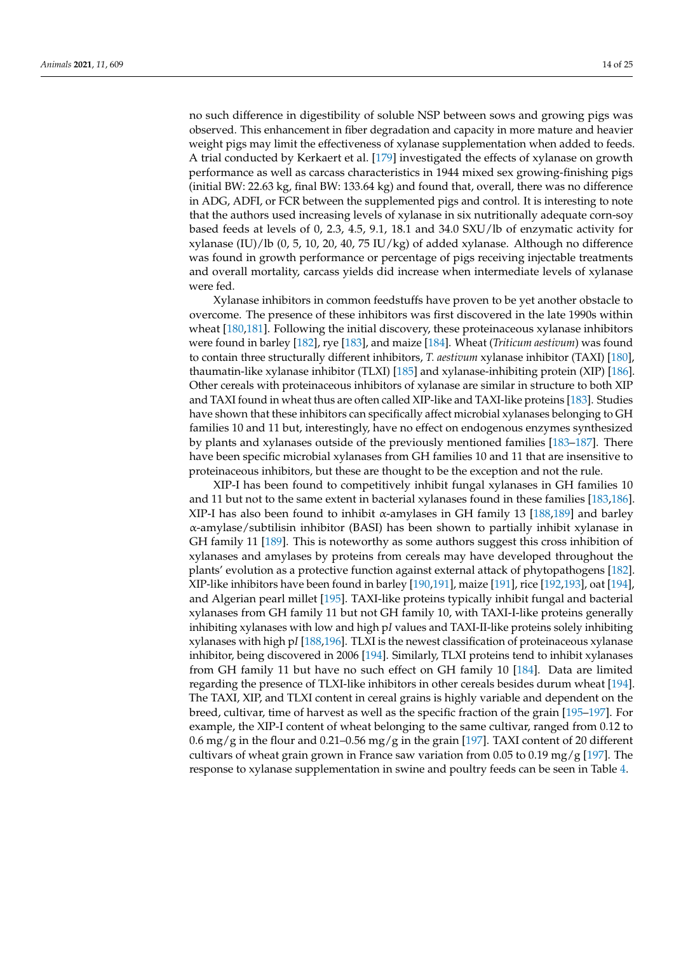no such difference in digestibility of soluble NSP between sows and growing pigs was observed. This enhancement in fiber degradation and capacity in more mature and heavier weight pigs may limit the effectiveness of xylanase supplementation when added to feeds. A trial conducted by Kerkaert et al. [\[179\]](#page-23-11) investigated the effects of xylanase on growth performance as well as carcass characteristics in 1944 mixed sex growing-finishing pigs (initial BW: 22.63 kg, final BW: 133.64 kg) and found that, overall, there was no difference in ADG, ADFI, or FCR between the supplemented pigs and control. It is interesting to note that the authors used increasing levels of xylanase in six nutritionally adequate corn-soy based feeds at levels of 0, 2.3, 4.5, 9.1, 18.1 and 34.0 SXU/lb of enzymatic activity for xylanase (IU)/lb  $(0, 5, 10, 20, 40, 75 \text{ IU/kg})$  of added xylanase. Although no difference was found in growth performance or percentage of pigs receiving injectable treatments and overall mortality, carcass yields did increase when intermediate levels of xylanase were fed.

Xylanase inhibitors in common feedstuffs have proven to be yet another obstacle to overcome. The presence of these inhibitors was first discovered in the late 1990s within wheat [\[180](#page-23-12)[,181\]](#page-23-13). Following the initial discovery, these proteinaceous xylanase inhibitors were found in barley [\[182\]](#page-23-14), rye [\[183\]](#page-23-15), and maize [\[184\]](#page-23-16). Wheat (*Triticum aestivum*) was found to contain three structurally different inhibitors, *T. aestivum* xylanase inhibitor (TAXI) [\[180\]](#page-23-12), thaumatin-like xylanase inhibitor (TLXI) [\[185\]](#page-23-17) and xylanase-inhibiting protein (XIP) [\[186\]](#page-23-18). Other cereals with proteinaceous inhibitors of xylanase are similar in structure to both XIP and TAXI found in wheat thus are often called XIP-like and TAXI-like proteins [\[183\]](#page-23-15). Studies have shown that these inhibitors can specifically affect microbial xylanases belonging to GH families 10 and 11 but, interestingly, have no effect on endogenous enzymes synthesized by plants and xylanases outside of the previously mentioned families [\[183](#page-23-15)[–187\]](#page-23-19). There have been specific microbial xylanases from GH families 10 and 11 that are insensitive to proteinaceous inhibitors, but these are thought to be the exception and not the rule.

XIP-I has been found to competitively inhibit fungal xylanases in GH families 10 and 11 but not to the same extent in bacterial xylanases found in these families [\[183,](#page-23-15)[186\]](#page-23-18). XIP-I has also been found to inhibit  $\alpha$ -amylases in GH family 13 [\[188](#page-23-20)[,189\]](#page-23-21) and barley α-amylase/subtilisin inhibitor (BASI) has been shown to partially inhibit xylanase in GH family 11 [\[189\]](#page-23-21). This is noteworthy as some authors suggest this cross inhibition of xylanases and amylases by proteins from cereals may have developed throughout the plants' evolution as a protective function against external attack of phytopathogens [\[182\]](#page-23-14). XIP-like inhibitors have been found in barley [\[190](#page-23-22)[,191\]](#page-23-23), maize [\[191\]](#page-23-23), rice [\[192,](#page-23-24)[193\]](#page-24-0), oat [\[194\]](#page-24-1), and Algerian pearl millet [\[195\]](#page-24-2). TAXI-like proteins typically inhibit fungal and bacterial xylanases from GH family 11 but not GH family 10, with TAXI-I-like proteins generally inhibiting xylanases with low and high p*I* values and TAXI-II-like proteins solely inhibiting xylanases with high p*I* [\[188](#page-23-20)[,196\]](#page-24-3). TLXI is the newest classification of proteinaceous xylanase inhibitor, being discovered in 2006 [\[194\]](#page-24-1). Similarly, TLXI proteins tend to inhibit xylanases from GH family 11 but have no such effect on GH family 10 [\[184\]](#page-23-16). Data are limited regarding the presence of TLXI-like inhibitors in other cereals besides durum wheat [\[194\]](#page-24-1). The TAXI, XIP, and TLXI content in cereal grains is highly variable and dependent on the breed, cultivar, time of harvest as well as the specific fraction of the grain [\[195](#page-24-2)[–197\]](#page-24-4). For example, the XIP-I content of wheat belonging to the same cultivar, ranged from 0.12 to 0.6 mg/g in the flour and 0.21–0.56 mg/g in the grain [\[197\]](#page-24-4). TAXI content of 20 different cultivars of wheat grain grown in France saw variation from 0.05 to 0.19 mg/g [\[197\]](#page-24-4). The response to xylanase supplementation in swine and poultry feeds can be seen in Table [4.](#page-15-0)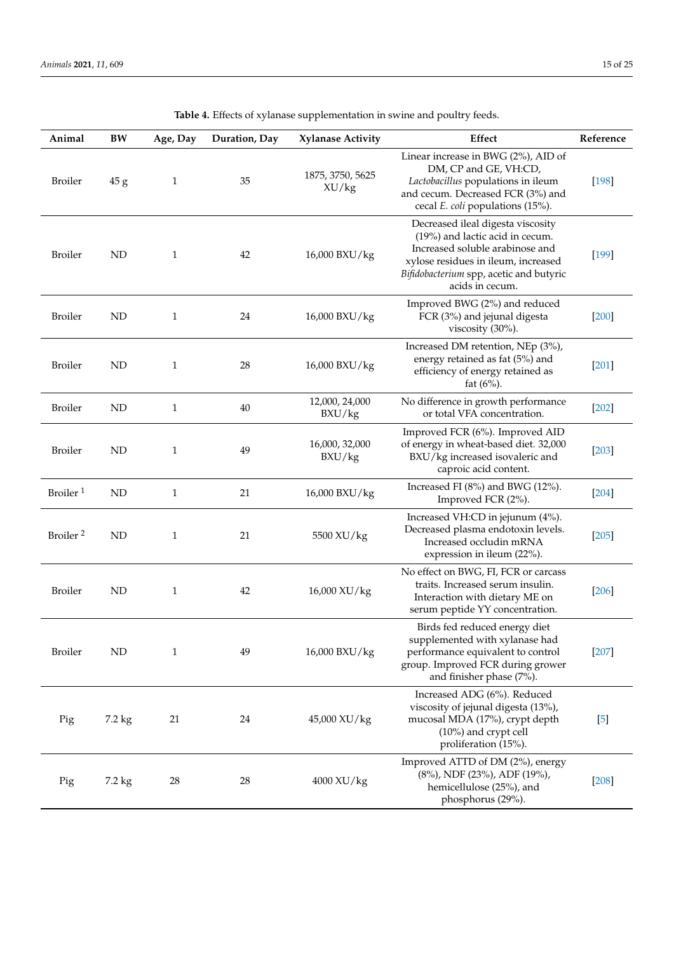| Animal               | BW          | Age, Day     | Duration, Day | <b>Xylanase Activity</b>  | Effect                                                                                                                                                                                                       | Reference        |
|----------------------|-------------|--------------|---------------|---------------------------|--------------------------------------------------------------------------------------------------------------------------------------------------------------------------------------------------------------|------------------|
| <b>Broiler</b>       | 45 g        | $\mathbf{1}$ | 35            | 1875, 3750, 5625<br>XU/kg | Linear increase in BWG (2%), AID of<br>DM, CP and GE, VH:CD,<br>Lactobacillus populations in ileum<br>and cecum. Decreased FCR (3%) and<br>cecal E. coli populations (15%).                                  | $[198]$          |
| <b>Broiler</b>       | <b>ND</b>   | 1            | 42            | 16,000 BXU/kg             | Decreased ileal digesta viscosity<br>(19%) and lactic acid in cecum.<br>Increased soluble arabinose and<br>xylose residues in ileum, increased<br>Bifidobacterium spp, acetic and butyric<br>acids in cecum. | $[199]$          |
| <b>Broiler</b>       | <b>ND</b>   | $\mathbf{1}$ | 24            | 16,000 BXU/kg             | Improved BWG (2%) and reduced<br>FCR (3%) and jejunal digesta<br>viscosity (30%).                                                                                                                            | [200]            |
| <b>Broiler</b>       | <b>ND</b>   | 1            | 28            | 16,000 BXU/kg             | Increased DM retention, NEp (3%),<br>energy retained as fat (5%) and<br>efficiency of energy retained as<br>fat $(6%)$ .                                                                                     | $[201]$          |
| <b>Broiler</b>       | <b>ND</b>   | 1            | 40            | 12,000, 24,000<br>BXU/kg  | No difference in growth performance<br>or total VFA concentration.                                                                                                                                           | $[202]$          |
| <b>Broiler</b>       | <b>ND</b>   | $\mathbf{1}$ | 49            | 16,000, 32,000<br>BXU/kg  | Improved FCR (6%). Improved AID<br>of energy in wheat-based diet. 32,000<br>BXU/kg increased isovaleric and<br>caproic acid content.                                                                         | $[203]$          |
| Broiler <sup>1</sup> | <b>ND</b>   | $\mathbf{1}$ | 21            | 16,000 BXU/kg             | Increased FI $(8\%)$ and BWG $(12\%)$ .<br>Improved FCR (2%).                                                                                                                                                | $[204]$          |
| Broiler <sup>2</sup> | <b>ND</b>   | $\mathbf{1}$ | 21            | 5500 XU/kg                | Increased VH:CD in jejunum (4%).<br>Decreased plasma endotoxin levels.<br>Increased occludin mRNA<br>expression in ileum (22%).                                                                              | $[205]$          |
| <b>Broiler</b>       | <b>ND</b>   | $\mathbf{1}$ | 42            | 16,000 XU/kg              | No effect on BWG, FI, FCR or carcass<br>traits. Increased serum insulin.<br>Interaction with dietary ME on<br>serum peptide YY concentration.                                                                | $[206]$          |
| <b>Broiler</b>       | $\mbox{ND}$ | $\mathbf{1}$ | 49            | 16,000 BXU/kg             | Birds fed reduced energy diet<br>supplemented with xylanase had<br>performance equivalent to control<br>group. Improved FCR during grower<br>and finisher phase (7%).                                        | $[207]$          |
| Pig                  | 7.2 kg      | 21           | 24            | 45,000 XU/kg              | Increased ADG (6%). Reduced<br>viscosity of jejunal digesta (13%),<br>mucosal MDA (17%), crypt depth<br>(10%) and crypt cell<br>proliferation (15%).                                                         | $\left[5\right]$ |
| Pig                  | 7.2 kg      | 28           | 28            | 4000 XU/kg                | Improved ATTD of DM (2%), energy<br>(8%), NDF (23%), ADF (19%),<br>hemicellulose (25%), and<br>phosphorus (29%).                                                                                             | $[208]$          |

**Table 4.** Effects of xylanase supplementation in swine and poultry feeds.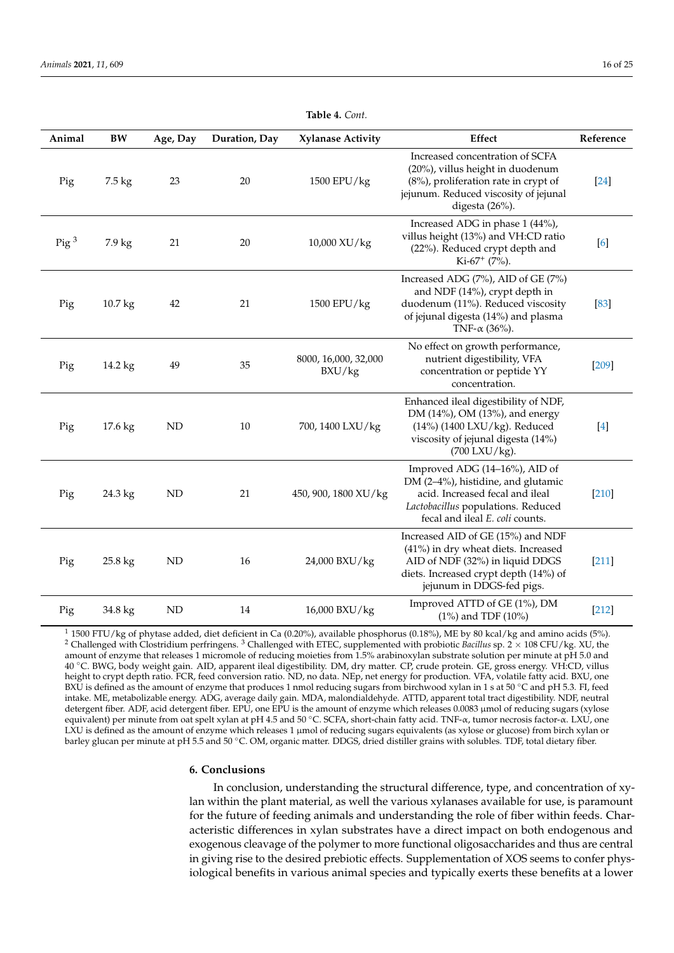<span id="page-15-0"></span>

| Animal         | <b>BW</b>          | Age, Day  | Duration, Day | <b>Xylanase Activity</b>       | Effect                                                                                                                                                                            | Reference |
|----------------|--------------------|-----------|---------------|--------------------------------|-----------------------------------------------------------------------------------------------------------------------------------------------------------------------------------|-----------|
| Pig            | 7.5 kg             | 23        | 20            | 1500 EPU/kg                    | Increased concentration of SCFA<br>(20%), villus height in duodenum<br>$(8\%)$ , proliferation rate in crypt of<br>jejunum. Reduced viscosity of jejunal<br>digesta (26%).        | $[24]$    |
| $\text{Pig}^3$ | 7.9 kg             | 21        | 20            | 10,000 XU/kg                   | Increased ADG in phase 1 (44%),<br>villus height (13%) and VH:CD ratio<br>(22%). Reduced crypt depth and<br>Ki-67 <sup>+</sup> (7%).                                              | [6]       |
| Pig            | 10.7 <sub>kg</sub> | 42        | 21            | 1500 EPU/kg                    | Increased ADG (7%), AID of GE (7%)<br>and NDF (14%), crypt depth in<br>duodenum (11%). Reduced viscosity<br>of jejunal digesta (14%) and plasma<br>TNF- $\alpha$ (36%).           | $[83]$    |
| Pig            | 14.2 kg            | 49        | 35            | 8000, 16,000, 32,000<br>BXU/kg | No effect on growth performance,<br>nutrient digestibility, VFA<br>concentration or peptide YY<br>concentration.                                                                  | $[209]$   |
| Pig            | 17.6 kg            | ND        | $10\,$        | 700, 1400 LXU/kg               | Enhanced ileal digestibility of NDF,<br>DM (14%), OM (13%), and energy<br>(14%) (1400 LXU/kg). Reduced<br>viscosity of jejunal digesta (14%)<br>$(700$ LXU/kg).                   | $[4]$     |
| Pig            | 24.3 kg            | <b>ND</b> | 21            | 450, 900, 1800 XU/kg           | Improved ADG (14-16%), AID of<br>DM (2-4%), histidine, and glutamic<br>acid. Increased fecal and ileal<br>Lactobacillus populations. Reduced<br>fecal and ileal E. coli counts.   | $[210]$   |
| Pig            | 25.8 kg            | <b>ND</b> | 16            | 24,000 BXU/kg                  | Increased AID of GE (15%) and NDF<br>(41%) in dry wheat diets. Increased<br>AID of NDF (32%) in liquid DDGS<br>diets. Increased crypt depth (14%) of<br>jejunum in DDGS-fed pigs. | $[211]$   |
| Pig            | 34.8 kg            | <b>ND</b> | 14            | 16,000 BXU/kg                  | Improved ATTD of GE (1%), DM<br>(1%) and TDF (10%)                                                                                                                                | $[212]$   |

**Table 4.** *Cont.*

 $1$  1500 FTU/kg of phytase added, diet deficient in Ca (0.20%), available phosphorus (0.18%), ME by 80 kcal/kg and amino acids (5%). <sup>2</sup> Challenged with Clostridium perfringens. <sup>3</sup> Challenged with ETEC, supplemented with probiotic *Bacillus* sp. 2 × 108 CFU/kg. XU, the amount of enzyme that releases 1 micromole of reducing moieties from 1.5% arabinoxylan substrate solution per minute at pH 5.0 and 40 °C. BWG, body weight gain. AID, apparent ileal digestibility. DM, dry matter. CP, crude protein. GE, gross energy. VH:CD, villus height to crypt depth ratio. FCR, feed conversion ratio. ND, no data. NEp, net energy for production. VFA, volatile fatty acid. BXU, one BXU is defined as the amount of enzyme that produces 1 nmol reducing sugars from birchwood xylan in 1 s at 50 °C and pH 5.3. FI, feed intake. ME, metabolizable energy. ADG, average daily gain. MDA, malondialdehyde. ATTD, apparent total tract digestibility. NDF, neutral detergent fiber. ADF, acid detergent fiber. EPU, one EPU is the amount of enzyme which releases 0.0083 µmol of reducing sugars (xylose equivalent) per minute from oat spelt xylan at pH 4.5 and 50 ◦C. SCFA, short-chain fatty acid. TNF-α, tumor necrosis factor-α. LXU, one LXU is defined as the amount of enzyme which releases 1 µmol of reducing sugars equivalents (as xylose or glucose) from birch xylan or barley glucan per minute at pH 5.5 and 50 ◦C. OM, organic matter. DDGS, dried distiller grains with solubles. TDF, total dietary fiber.

### **6. Conclusions**

In conclusion, understanding the structural difference, type, and concentration of xylan within the plant material, as well the various xylanases available for use, is paramount for the future of feeding animals and understanding the role of fiber within feeds. Characteristic differences in xylan substrates have a direct impact on both endogenous and exogenous cleavage of the polymer to more functional oligosaccharides and thus are central in giving rise to the desired prebiotic effects. Supplementation of XOS seems to confer physiological benefits in various animal species and typically exerts these benefits at a lower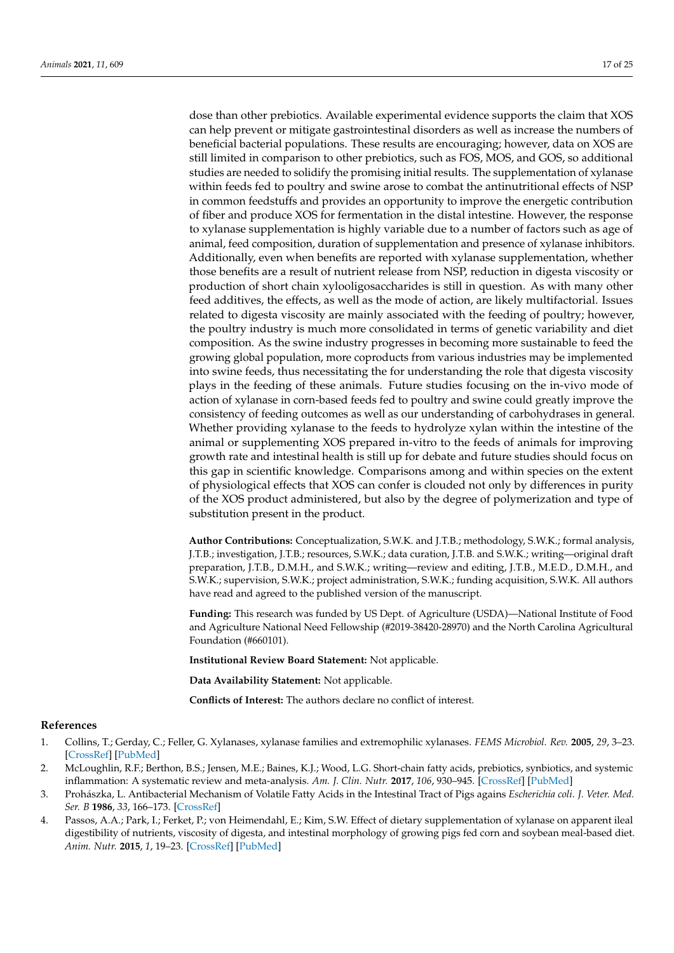dose than other prebiotics. Available experimental evidence supports the claim that XOS can help prevent or mitigate gastrointestinal disorders as well as increase the numbers of beneficial bacterial populations. These results are encouraging; however, data on XOS are still limited in comparison to other prebiotics, such as FOS, MOS, and GOS, so additional studies are needed to solidify the promising initial results. The supplementation of xylanase within feeds fed to poultry and swine arose to combat the antinutritional effects of NSP in common feedstuffs and provides an opportunity to improve the energetic contribution of fiber and produce XOS for fermentation in the distal intestine. However, the response to xylanase supplementation is highly variable due to a number of factors such as age of animal, feed composition, duration of supplementation and presence of xylanase inhibitors. Additionally, even when benefits are reported with xylanase supplementation, whether those benefits are a result of nutrient release from NSP, reduction in digesta viscosity or production of short chain xylooligosaccharides is still in question. As with many other feed additives, the effects, as well as the mode of action, are likely multifactorial. Issues related to digesta viscosity are mainly associated with the feeding of poultry; however, the poultry industry is much more consolidated in terms of genetic variability and diet composition. As the swine industry progresses in becoming more sustainable to feed the growing global population, more coproducts from various industries may be implemented into swine feeds, thus necessitating the for understanding the role that digesta viscosity plays in the feeding of these animals. Future studies focusing on the in-vivo mode of action of xylanase in corn-based feeds fed to poultry and swine could greatly improve the consistency of feeding outcomes as well as our understanding of carbohydrases in general. Whether providing xylanase to the feeds to hydrolyze xylan within the intestine of the animal or supplementing XOS prepared in-vitro to the feeds of animals for improving growth rate and intestinal health is still up for debate and future studies should focus on this gap in scientific knowledge. Comparisons among and within species on the extent of physiological effects that XOS can confer is clouded not only by differences in purity of the XOS product administered, but also by the degree of polymerization and type of substitution present in the product.

**Author Contributions:** Conceptualization, S.W.K. and J.T.B.; methodology, S.W.K.; formal analysis, J.T.B.; investigation, J.T.B.; resources, S.W.K.; data curation, J.T.B. and S.W.K.; writing—original draft preparation, J.T.B., D.M.H., and S.W.K.; writing—review and editing, J.T.B., M.E.D., D.M.H., and S.W.K.; supervision, S.W.K.; project administration, S.W.K.; funding acquisition, S.W.K. All authors have read and agreed to the published version of the manuscript.

Funding: This research was funded by US Dept. of Agriculture (USDA)—National Institute of Food and Agriculture National Need Fellowship (#2019-38420-28970) and the North Carolina Agricultural Foundation (#660101).

**Institutional Review Board Statement:** Not applicable.

**Data Availability Statement:** Not applicable.

**Conflicts of Interest:** The authors declare no conflict of interest.

# **References**

- <span id="page-16-0"></span>1. Collins, T.; Gerday, C.; Feller, G. Xylanases, xylanase families and extremophilic xylanases. *FEMS Microbiol. Rev.* **2005**, *29*, 3–23. [\[CrossRef\]](http://doi.org/10.1016/j.femsre.2004.06.005) [\[PubMed\]](http://www.ncbi.nlm.nih.gov/pubmed/15652973)
- <span id="page-16-1"></span>2. McLoughlin, R.F.; Berthon, B.S.; Jensen, M.E.; Baines, K.J.; Wood, L.G. Short-chain fatty acids, prebiotics, synbiotics, and systemic inflammation: A systematic review and meta-analysis. *Am. J. Clin. Nutr.* **2017**, *106*, 930–945. [\[CrossRef\]](http://doi.org/10.3945/ajcn.117.156265) [\[PubMed\]](http://www.ncbi.nlm.nih.gov/pubmed/28793992)
- <span id="page-16-2"></span>3. Prohászka, L. Antibacterial Mechanism of Volatile Fatty Acids in the Intestinal Tract of Pigs agains *Escherichia coli*. *J. Veter. Med. Ser. B* **1986**, *33*, 166–173. [\[CrossRef\]](http://doi.org/10.1111/j.1439-0450.1986.tb00019.x)
- <span id="page-16-3"></span>4. Passos, A.A.; Park, I.; Ferket, P.; von Heimendahl, E.; Kim, S.W. Effect of dietary supplementation of xylanase on apparent ileal digestibility of nutrients, viscosity of digesta, and intestinal morphology of growing pigs fed corn and soybean meal-based diet. *Anim. Nutr.* **2015**, *1*, 19–23. [\[CrossRef\]](http://doi.org/10.1016/j.aninu.2015.02.006) [\[PubMed\]](http://www.ncbi.nlm.nih.gov/pubmed/29766982)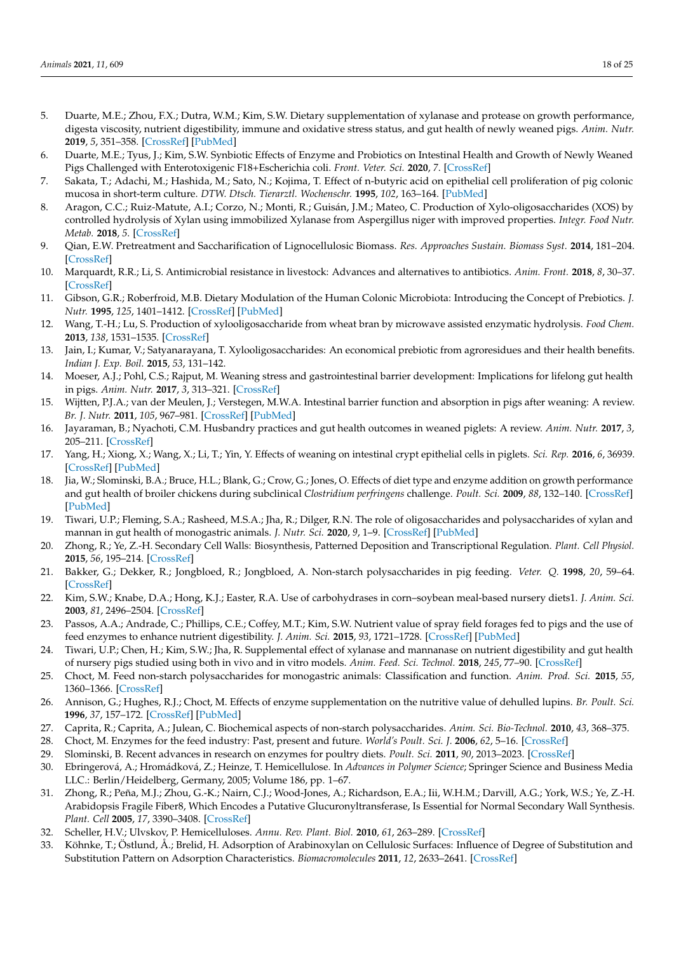- <span id="page-17-25"></span>5. Duarte, M.E.; Zhou, F.X.; Dutra, W.M.; Kim, S.W. Dietary supplementation of xylanase and protease on growth performance, digesta viscosity, nutrient digestibility, immune and oxidative stress status, and gut health of newly weaned pigs. *Anim. Nutr.* **2019**, *5*, 351–358. [\[CrossRef\]](http://doi.org/10.1016/j.aninu.2019.04.005) [\[PubMed\]](http://www.ncbi.nlm.nih.gov/pubmed/31890911)
- <span id="page-17-0"></span>6. Duarte, M.E.; Tyus, J.; Kim, S.W. Synbiotic Effects of Enzyme and Probiotics on Intestinal Health and Growth of Newly Weaned Pigs Challenged with Enterotoxigenic F18+Escherichia coli. *Front. Veter. Sci.* **2020**, *7*. [\[CrossRef\]](http://doi.org/10.3389/fvets.2020.00573)
- <span id="page-17-1"></span>7. Sakata, T.; Adachi, M.; Hashida, M.; Sato, N.; Kojima, T. Effect of n-butyric acid on epithelial cell proliferation of pig colonic mucosa in short-term culture. *DTW. Dtsch. Tierarztl. Wochenschr.* **1995**, *102*, 163–164. [\[PubMed\]](http://www.ncbi.nlm.nih.gov/pubmed/7555697)
- <span id="page-17-2"></span>8. Aragon, C.C.; Ruiz-Matute, A.I.; Corzo, N.; Monti, R.; Guisán, J.M.; Mateo, C. Production of Xylo-oligosaccharides (XOS) by controlled hydrolysis of Xylan using immobilized Xylanase from Aspergillus niger with improved properties. *Integr. Food Nutr. Metab.* **2018**, *5*. [\[CrossRef\]](http://doi.org/10.15761/IFNM.1000225)
- <span id="page-17-3"></span>9. Qian, E.W. Pretreatment and Saccharification of Lignocellulosic Biomass. *Res. Approaches Sustain. Biomass Syst.* **2014**, 181–204. [\[CrossRef\]](http://doi.org/10.1016/b978-0-12-404609-2.00007-6)
- <span id="page-17-4"></span>10. Marquardt, R.R.; Li, S. Antimicrobial resistance in livestock: Advances and alternatives to antibiotics. *Anim. Front.* **2018**, *8*, 30–37. [\[CrossRef\]](http://doi.org/10.1093/af/vfy001)
- <span id="page-17-5"></span>11. Gibson, G.R.; Roberfroid, M.B. Dietary Modulation of the Human Colonic Microbiota: Introducing the Concept of Prebiotics. *J. Nutr.* **1995**, *125*, 1401–1412. [\[CrossRef\]](http://doi.org/10.1093/jn/125.6.1401) [\[PubMed\]](http://www.ncbi.nlm.nih.gov/pubmed/7782892)
- <span id="page-17-6"></span>12. Wang, T.-H.; Lu, S. Production of xylooligosaccharide from wheat bran by microwave assisted enzymatic hydrolysis. *Food Chem.* **2013**, *138*, 1531–1535. [\[CrossRef\]](http://doi.org/10.1016/j.foodchem.2012.09.124)
- <span id="page-17-7"></span>13. Jain, I.; Kumar, V.; Satyanarayana, T. Xylooligosaccharides: An economical prebiotic from agroresidues and their health benefits. *Indian J. Exp. Boil.* **2015**, *53*, 131–142.
- <span id="page-17-8"></span>14. Moeser, A.J.; Pohl, C.S.; Rajput, M. Weaning stress and gastrointestinal barrier development: Implications for lifelong gut health in pigs. *Anim. Nutr.* **2017**, *3*, 313–321. [\[CrossRef\]](http://doi.org/10.1016/j.aninu.2017.06.003)
- 15. Wijtten, P.J.A.; van der Meulen, J.; Verstegen, M.W.A. Intestinal barrier function and absorption in pigs after weaning: A review. *Br. J. Nutr.* **2011**, *105*, 967–981. [\[CrossRef\]](http://doi.org/10.1017/S0007114510005660) [\[PubMed\]](http://www.ncbi.nlm.nih.gov/pubmed/21303573)
- 16. Jayaraman, B.; Nyachoti, C.M. Husbandry practices and gut health outcomes in weaned piglets: A review. *Anim. Nutr.* **2017**, *3*, 205–211. [\[CrossRef\]](http://doi.org/10.1016/j.aninu.2017.06.002)
- <span id="page-17-9"></span>17. Yang, H.; Xiong, X.; Wang, X.; Li, T.; Yin, Y. Effects of weaning on intestinal crypt epithelial cells in piglets. *Sci. Rep.* **2016**, *6*, 36939. [\[CrossRef\]](http://doi.org/10.1038/srep36939) [\[PubMed\]](http://www.ncbi.nlm.nih.gov/pubmed/27830738)
- <span id="page-17-10"></span>18. Jia, W.; Slominski, B.A.; Bruce, H.L.; Blank, G.; Crow, G.; Jones, O. Effects of diet type and enzyme addition on growth performance and gut health of broiler chickens during subclinical *Clostridium perfringens* challenge. *Poult. Sci.* **2009**, *88*, 132–140. [\[CrossRef\]](http://doi.org/10.3382/ps.2008-00204) [\[PubMed\]](http://www.ncbi.nlm.nih.gov/pubmed/19096067)
- <span id="page-17-11"></span>19. Tiwari, U.P.; Fleming, S.A.; Rasheed, M.S.A.; Jha, R.; Dilger, R.N. The role of oligosaccharides and polysaccharides of xylan and mannan in gut health of monogastric animals. *J. Nutr. Sci.* **2020**, *9*, 1–9. [\[CrossRef\]](http://doi.org/10.1017/jns.2020.14) [\[PubMed\]](http://www.ncbi.nlm.nih.gov/pubmed/32595966)
- <span id="page-17-12"></span>20. Zhong, R.; Ye, Z.-H. Secondary Cell Walls: Biosynthesis, Patterned Deposition and Transcriptional Regulation. *Plant. Cell Physiol.* **2015**, *56*, 195–214. [\[CrossRef\]](http://doi.org/10.1093/pcp/pcu140)
- <span id="page-17-13"></span>21. Bakker, G.; Dekker, R.; Jongbloed, R.; Jongbloed, A. Non-starch polysaccharides in pig feeding. *Veter. Q.* **1998**, *20*, 59–64. [\[CrossRef\]](http://doi.org/10.1080/01652176.1998.9694971)
- 22. Kim, S.W.; Knabe, D.A.; Hong, K.J.; Easter, R.A. Use of carbohydrases in corn–soybean meal-based nursery diets1. *J. Anim. Sci.* **2003**, *81*, 2496–2504. [\[CrossRef\]](http://doi.org/10.2527/2003.81102496x)
- <span id="page-17-15"></span>23. Passos, A.A.; Andrade, C.; Phillips, C.E.; Coffey, M.T.; Kim, S.W. Nutrient value of spray field forages fed to pigs and the use of feed enzymes to enhance nutrient digestibility. *J. Anim. Sci.* **2015**, *93*, 1721–1728. [\[CrossRef\]](http://doi.org/10.2527/jas.2014-8435) [\[PubMed\]](http://www.ncbi.nlm.nih.gov/pubmed/26020194)
- <span id="page-17-14"></span>24. Tiwari, U.P.; Chen, H.; Kim, S.W.; Jha, R. Supplemental effect of xylanase and mannanase on nutrient digestibility and gut health of nursery pigs studied using both in vivo and in vitro models. *Anim. Feed. Sci. Technol.* **2018**, *245*, 77–90. [\[CrossRef\]](http://doi.org/10.1016/j.anifeedsci.2018.07.002)
- <span id="page-17-16"></span>25. Choct, M. Feed non-starch polysaccharides for monogastric animals: Classification and function. *Anim. Prod. Sci.* **2015**, *55*, 1360–1366. [\[CrossRef\]](http://doi.org/10.1071/AN15276)
- <span id="page-17-17"></span>26. Annison, G.; Hughes, R.J.; Choct, M. Effects of enzyme supplementation on the nutritive value of dehulled lupins. *Br. Poult. Sci.* **1996**, *37*, 157–172. [\[CrossRef\]](http://doi.org/10.1080/00071669608417845) [\[PubMed\]](http://www.ncbi.nlm.nih.gov/pubmed/8833536)
- <span id="page-17-18"></span>27. Caprita, R.; Caprita, A.; Julean, C. Biochemical aspects of non-starch polysaccharides. *Anim. Sci. Bio-Technol.* **2010**, *43*, 368–375.
- <span id="page-17-19"></span>28. Choct, M. Enzymes for the feed industry: Past, present and future. *World's Poult. Sci. J.* **2006**, *62*, 5–16. [\[CrossRef\]](http://doi.org/10.1079/WPS200480)
- <span id="page-17-20"></span>29. Slominski, B. Recent advances in research on enzymes for poultry diets. *Poult. Sci.* **2011**, *90*, 2013–2023. [\[CrossRef\]](http://doi.org/10.3382/ps.2011-01372)
- <span id="page-17-21"></span>30. Ebringerová, A.; Hromádková, Z.; Heinze, T. Hemicellulose. In *Advances in Polymer Science*; Springer Science and Business Media LLC.: Berlin/Heidelberg, Germany, 2005; Volume 186, pp. 1–67.
- <span id="page-17-22"></span>31. Zhong, R.; Peña, M.J.; Zhou, G.-K.; Nairn, C.J.; Wood-Jones, A.; Richardson, E.A.; Iii, W.H.M.; Darvill, A.G.; York, W.S.; Ye, Z.-H. Arabidopsis Fragile Fiber8, Which Encodes a Putative Glucuronyltransferase, Is Essential for Normal Secondary Wall Synthesis. *Plant. Cell* **2005**, *17*, 3390–3408. [\[CrossRef\]](http://doi.org/10.1105/tpc.105.035501)
- <span id="page-17-23"></span>32. Scheller, H.V.; Ulvskov, P. Hemicelluloses. *Annu. Rev. Plant. Biol.* **2010**, *61*, 263–289. [\[CrossRef\]](http://doi.org/10.1146/annurev-arplant-042809-112315)
- <span id="page-17-24"></span>33. Köhnke, T.; Östlund, Å.; Brelid, H. Adsorption of Arabinoxylan on Cellulosic Surfaces: Influence of Degree of Substitution and Substitution Pattern on Adsorption Characteristics. *Biomacromolecules* **2011**, *12*, 2633–2641. [\[CrossRef\]](http://doi.org/10.1021/bm200437m)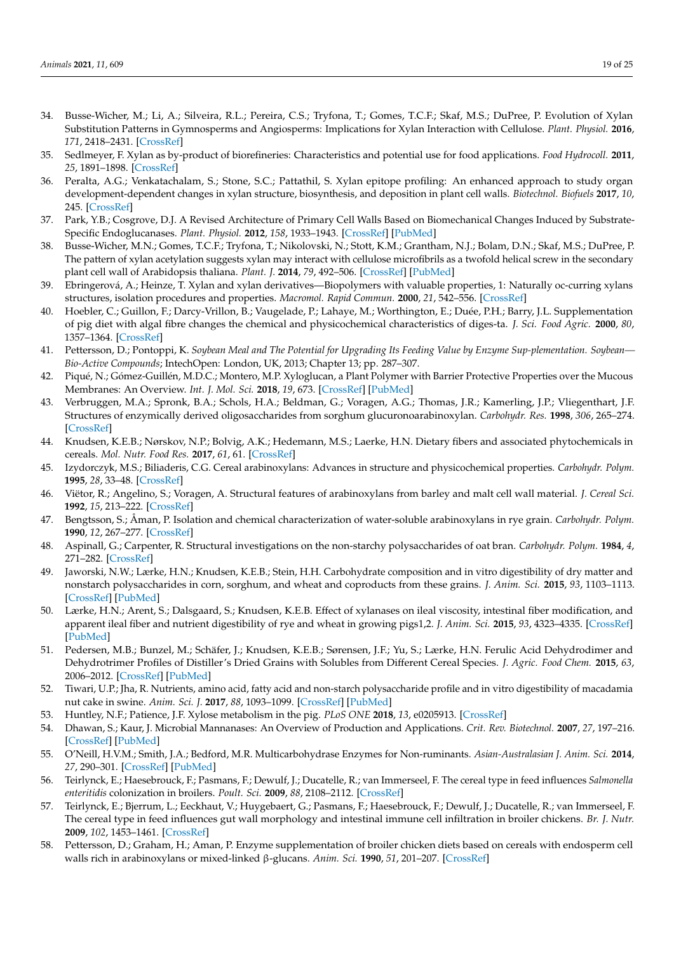- <span id="page-18-0"></span>34. Busse-Wicher, M.; Li, A.; Silveira, R.L.; Pereira, C.S.; Tryfona, T.; Gomes, T.C.F.; Skaf, M.S.; DuPree, P. Evolution of Xylan Substitution Patterns in Gymnosperms and Angiosperms: Implications for Xylan Interaction with Cellulose. *Plant. Physiol.* **2016**, *171*, 2418–2431. [\[CrossRef\]](http://doi.org/10.1104/pp.16.00539)
- <span id="page-18-1"></span>35. Sedlmeyer, F. Xylan as by-product of biorefineries: Characteristics and potential use for food applications. *Food Hydrocoll.* **2011**, *25*, 1891–1898. [\[CrossRef\]](http://doi.org/10.1016/j.foodhyd.2011.04.005)
- <span id="page-18-2"></span>36. Peralta, A.G.; Venkatachalam, S.; Stone, S.C.; Pattathil, S. Xylan epitope profiling: An enhanced approach to study organ development-dependent changes in xylan structure, biosynthesis, and deposition in plant cell walls. *Biotechnol. Biofuels* **2017**, *10*, 245. [\[CrossRef\]](http://doi.org/10.1186/s13068-017-0935-5)
- <span id="page-18-3"></span>37. Park, Y.B.; Cosgrove, D.J. A Revised Architecture of Primary Cell Walls Based on Biomechanical Changes Induced by Substrate-Specific Endoglucanases. *Plant. Physiol.* **2012**, *158*, 1933–1943. [\[CrossRef\]](http://doi.org/10.1104/pp.111.192880) [\[PubMed\]](http://www.ncbi.nlm.nih.gov/pubmed/22362871)
- <span id="page-18-4"></span>38. Busse-Wicher, M.N.; Gomes, T.C.F.; Tryfona, T.; Nikolovski, N.; Stott, K.M.; Grantham, N.J.; Bolam, D.N.; Skaf, M.S.; DuPree, P. The pattern of xylan acetylation suggests xylan may interact with cellulose microfibrils as a twofold helical screw in the secondary plant cell wall of Arabidopsis thaliana. *Plant. J.* **2014**, *79*, 492–506. [\[CrossRef\]](http://doi.org/10.1111/tpj.12575) [\[PubMed\]](http://www.ncbi.nlm.nih.gov/pubmed/24889696)
- <span id="page-18-5"></span>39. Ebringerová, A.; Heinze, T. Xylan and xylan derivatives—Biopolymers with valuable properties, 1: Naturally oc-curring xylans structures, isolation procedures and properties. *Macromol. Rapid Commun.* **2000**, *21*, 542–556. [\[CrossRef\]](http://doi.org/10.1002/1521-3927(20000601)21:9<542::AID-MARC542>3.0.CO;2-7)
- <span id="page-18-6"></span>40. Hoebler, C.; Guillon, F.; Darcy-Vrillon, B.; Vaugelade, P.; Lahaye, M.; Worthington, E.; Duée, P.H.; Barry, J.L. Supplementation of pig diet with algal fibre changes the chemical and physicochemical characteristics of diges-ta. *J. Sci. Food Agric.* **2000**, *80*, 1357–1364. [\[CrossRef\]](http://doi.org/10.1002/1097-0010(200007)80:9<1357::AID-JSFA657>3.0.CO;2-B)
- <span id="page-18-7"></span>41. Pettersson, D.; Pontoppi, K. *Soybean Meal and The Potential for Upgrading Its Feeding Value by Enzyme Sup-plementation. Soybean— Bio-Active Compounds*; IntechOpen: London, UK, 2013; Chapter 13; pp. 287–307.
- <span id="page-18-8"></span>42. Piqué, N.; Gómez-Guillén, M.D.C.; Montero, M.P. Xyloglucan, a Plant Polymer with Barrier Protective Properties over the Mucous Membranes: An Overview. *Int. J. Mol. Sci.* **2018**, *19*, 673. [\[CrossRef\]](http://doi.org/10.3390/ijms19030673) [\[PubMed\]](http://www.ncbi.nlm.nih.gov/pubmed/29495535)
- <span id="page-18-9"></span>43. Verbruggen, M.A.; Spronk, B.A.; Schols, H.A.; Beldman, G.; Voragen, A.G.; Thomas, J.R.; Kamerling, J.P.; Vliegenthart, J.F. Structures of enzymically derived oligosaccharides from sorghum glucuronoarabinoxylan. *Carbohydr. Res.* **1998**, *306*, 265–274. [\[CrossRef\]](http://doi.org/10.1016/S0008-6215(97)10064-7)
- <span id="page-18-10"></span>44. Knudsen, K.E.B.; Nørskov, N.P.; Bolvig, A.K.; Hedemann, M.S.; Laerke, H.N. Dietary fibers and associated phytochemicals in cereals. *Mol. Nutr. Food Res.* **2017**, *61*, 61. [\[CrossRef\]](http://doi.org/10.1002/mnfr.201600518)
- <span id="page-18-11"></span>45. Izydorczyk, M.S.; Biliaderis, C.G. Cereal arabinoxylans: Advances in structure and physicochemical properties. *Carbohydr. Polym.* **1995**, *28*, 33–48. [\[CrossRef\]](http://doi.org/10.1016/0144-8617(95)00077-1)
- <span id="page-18-12"></span>46. Viëtor, R.; Angelino, S.; Voragen, A. Structural features of arabinoxylans from barley and malt cell wall material. *J. Cereal Sci.* **1992**, *15*, 213–222. [\[CrossRef\]](http://doi.org/10.1016/S0733-5210(09)80120-3)
- <span id="page-18-13"></span>47. Bengtsson, S.; Åman, P. Isolation and chemical characterization of water-soluble arabinoxylans in rye grain. *Carbohydr. Polym.* **1990**, *12*, 267–277. [\[CrossRef\]](http://doi.org/10.1016/0144-8617(90)90068-4)
- <span id="page-18-14"></span>48. Aspinall, G.; Carpenter, R. Structural investigations on the non-starchy polysaccharides of oat bran. *Carbohydr. Polym.* **1984**, *4*, 271–282. [\[CrossRef\]](http://doi.org/10.1016/0144-8617(84)90003-1)
- <span id="page-18-15"></span>49. Jaworski, N.W.; Lærke, H.N.; Knudsen, K.E.B.; Stein, H.H. Carbohydrate composition and in vitro digestibility of dry matter and nonstarch polysaccharides in corn, sorghum, and wheat and coproducts from these grains. *J. Anim. Sci.* **2015**, *93*, 1103–1113. [\[CrossRef\]](http://doi.org/10.2527/jas.2014-8147) [\[PubMed\]](http://www.ncbi.nlm.nih.gov/pubmed/26020887)
- <span id="page-18-16"></span>50. Lærke, H.N.; Arent, S.; Dalsgaard, S.; Knudsen, K.E.B. Effect of xylanases on ileal viscosity, intestinal fiber modification, and apparent ileal fiber and nutrient digestibility of rye and wheat in growing pigs1,2. *J. Anim. Sci.* **2015**, *93*, 4323–4335. [\[CrossRef\]](http://doi.org/10.2527/jas.2015-9096) [\[PubMed\]](http://www.ncbi.nlm.nih.gov/pubmed/26440332)
- 51. Pedersen, M.B.; Bunzel, M.; Schäfer, J.; Knudsen, K.E.B.; Sørensen, J.F.; Yu, S.; Lærke, H.N. Ferulic Acid Dehydrodimer and Dehydrotrimer Profiles of Distiller's Dried Grains with Solubles from Different Cereal Species. *J. Agric. Food Chem.* **2015**, *63*, 2006–2012. [\[CrossRef\]](http://doi.org/10.1021/jf505150g) [\[PubMed\]](http://www.ncbi.nlm.nih.gov/pubmed/25660114)
- <span id="page-18-17"></span>52. Tiwari, U.P.; Jha, R. Nutrients, amino acid, fatty acid and non-starch polysaccharide profile and in vitro digestibility of macadamia nut cake in swine. *Anim. Sci. J.* **2017**, *88*, 1093–1099. [\[CrossRef\]](http://doi.org/10.1111/asj.12750) [\[PubMed\]](http://www.ncbi.nlm.nih.gov/pubmed/27880986)
- <span id="page-18-18"></span>53. Huntley, N.F.; Patience, J.F. Xylose metabolism in the pig. *PLoS ONE* **2018**, *13*, e0205913. [\[CrossRef\]](http://doi.org/10.1371/journal.pone.0205913)
- <span id="page-18-19"></span>54. Dhawan, S.; Kaur, J. Microbial Mannanases: An Overview of Production and Applications. *Crit. Rev. Biotechnol.* **2007**, *27*, 197–216. [\[CrossRef\]](http://doi.org/10.1080/07388550701775919) [\[PubMed\]](http://www.ncbi.nlm.nih.gov/pubmed/18085462)
- <span id="page-18-20"></span>55. O'Neill, H.V.M.; Smith, J.A.; Bedford, M.R. Multicarbohydrase Enzymes for Non-ruminants. *Asian-Australasian J. Anim. Sci.* **2014**, *27*, 290–301. [\[CrossRef\]](http://doi.org/10.5713/ajas.2013.13261) [\[PubMed\]](http://www.ncbi.nlm.nih.gov/pubmed/25049954)
- <span id="page-18-21"></span>56. Teirlynck, E.; Haesebrouck, F.; Pasmans, F.; Dewulf, J.; Ducatelle, R.; van Immerseel, F. The cereal type in feed influences *Salmonella enteritidis* colonization in broilers. *Poult. Sci.* **2009**, *88*, 2108–2112. [\[CrossRef\]](http://doi.org/10.3382/ps.2009-00236)
- <span id="page-18-22"></span>57. Teirlynck, E.; Bjerrum, L.; Eeckhaut, V.; Huygebaert, G.; Pasmans, F.; Haesebrouck, F.; Dewulf, J.; Ducatelle, R.; van Immerseel, F. The cereal type in feed influences gut wall morphology and intestinal immune cell infiltration in broiler chickens. *Br. J. Nutr.* **2009**, *102*, 1453–1461. [\[CrossRef\]](http://doi.org/10.1017/S0007114509990407)
- <span id="page-18-23"></span>58. Pettersson, D.; Graham, H.; Aman, P. Enzyme supplementation of broiler chicken diets based on cereals with endosperm cell walls rich in arabinoxylans or mixed-linked β-glucans. *Anim. Sci.* **1990**, *51*, 201–207. [\[CrossRef\]](http://doi.org/10.1017/S0003356100005304)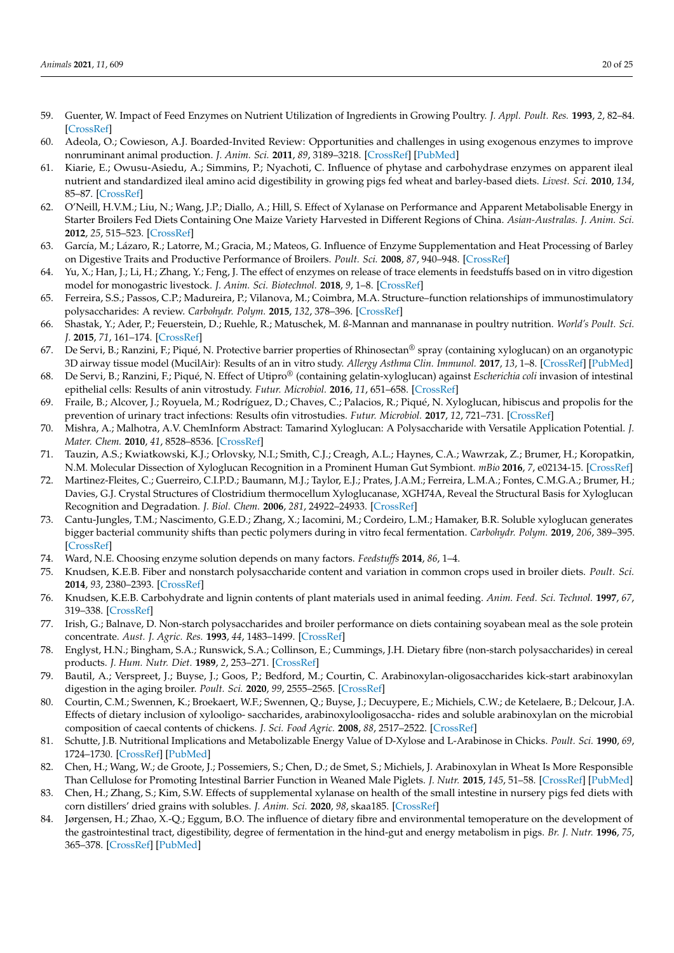- <span id="page-19-0"></span>59. Guenter, W. Impact of Feed Enzymes on Nutrient Utilization of Ingredients in Growing Poultry. *J. Appl. Poult. Res.* **1993**, *2*, 82–84. [\[CrossRef\]](http://doi.org/10.1093/japr/2.1.82)
- <span id="page-19-1"></span>60. Adeola, O.; Cowieson, A.J. Boarded-Invited Review: Opportunities and challenges in using exogenous enzymes to improve nonruminant animal production. *J. Anim. Sci.* **2011**, *89*, 3189–3218. [\[CrossRef\]](http://doi.org/10.2527/jas.2010-3715) [\[PubMed\]](http://www.ncbi.nlm.nih.gov/pubmed/21512114)
- <span id="page-19-2"></span>61. Kiarie, E.; Owusu-Asiedu, A.; Simmins, P.; Nyachoti, C. Influence of phytase and carbohydrase enzymes on apparent ileal nutrient and standardized ileal amino acid digestibility in growing pigs fed wheat and barley-based diets. *Livest. Sci.* **2010**, *134*, 85–87. [\[CrossRef\]](http://doi.org/10.1016/j.livsci.2010.06.105)
- <span id="page-19-3"></span>62. O'Neill, H.V.M.; Liu, N.; Wang, J.P.; Diallo, A.; Hill, S. Effect of Xylanase on Performance and Apparent Metabolisable Energy in Starter Broilers Fed Diets Containing One Maize Variety Harvested in Different Regions of China. *Asian-Australas. J. Anim. Sci.* **2012**, *25*, 515–523. [\[CrossRef\]](http://doi.org/10.5713/ajas.2011.11314)
- <span id="page-19-4"></span>63. García, M.; Lázaro, R.; Latorre, M.; Gracia, M.; Mateos, G. Influence of Enzyme Supplementation and Heat Processing of Barley on Digestive Traits and Productive Performance of Broilers. *Poult. Sci.* **2008**, *87*, 940–948. [\[CrossRef\]](http://doi.org/10.3382/ps.2007-00266)
- <span id="page-19-5"></span>64. Yu, X.; Han, J.; Li, H.; Zhang, Y.; Feng, J. The effect of enzymes on release of trace elements in feedstuffs based on in vitro digestion model for monogastric livestock. *J. Anim. Sci. Biotechnol.* **2018**, *9*, 1–8. [\[CrossRef\]](http://doi.org/10.1186/s40104-018-0289-2)
- <span id="page-19-6"></span>65. Ferreira, S.S.; Passos, C.P.; Madureira, P.; Vilanova, M.; Coimbra, M.A. Structure–function relationships of immunostimulatory polysaccharides: A review. *Carbohydr. Polym.* **2015**, *132*, 378–396. [\[CrossRef\]](http://doi.org/10.1016/j.carbpol.2015.05.079)
- <span id="page-19-7"></span>66. Shastak, Y.; Ader, P.; Feuerstein, D.; Ruehle, R.; Matuschek, M. ß-Mannan and mannanase in poultry nutrition. *World's Poult. Sci. J.* **2015**, *71*, 161–174. [\[CrossRef\]](http://doi.org/10.1017/S0043933915000136)
- <span id="page-19-8"></span>67. De Servi, B.; Ranzini, F.; Piqué, N. Protective barrier properties of Rhinosectan® spray (containing xyloglucan) on an organotypic 3D airway tissue model (MucilAir): Results of an in vitro study. *Allergy Asthma Clin. Immunol.* **2017**, *13*, 1–8. [\[CrossRef\]](http://doi.org/10.1186/s13223-017-0209-6) [\[PubMed\]](http://www.ncbi.nlm.nih.gov/pubmed/28811823)
- 68. De Servi, B.; Ranzini, F.; Piqué, N. Effect of Utipro® (containing gelatin-xyloglucan) against *Escherichia coli* invasion of intestinal epithelial cells: Results of anin vitrostudy. *Futur. Microbiol.* **2016**, *11*, 651–658. [\[CrossRef\]](http://doi.org/10.2217/fmb-2016-0022)
- <span id="page-19-9"></span>69. Fraile, B.; Alcover, J.; Royuela, M.; Rodríguez, D.; Chaves, C.; Palacios, R.; Piqué, N. Xyloglucan, hibiscus and propolis for the prevention of urinary tract infections: Results ofin vitrostudies. *Futur. Microbiol.* **2017**, *12*, 721–731. [\[CrossRef\]](http://doi.org/10.2217/fmb-2017-0015)
- <span id="page-19-10"></span>70. Mishra, A.; Malhotra, A.V. ChemInform Abstract: Tamarind Xyloglucan: A Polysaccharide with Versatile Application Potential. *J. Mater. Chem.* **2010**, *41*, 8528–8536. [\[CrossRef\]](http://doi.org/10.1002/chin.201012265)
- <span id="page-19-11"></span>71. Tauzin, A.S.; Kwiatkowski, K.J.; Orlovsky, N.I.; Smith, C.J.; Creagh, A.L.; Haynes, C.A.; Wawrzak, Z.; Brumer, H.; Koropatkin, N.M. Molecular Dissection of Xyloglucan Recognition in a Prominent Human Gut Symbiont. *mBio* **2016**, *7*, e02134-15. [\[CrossRef\]](http://doi.org/10.1128/mBio.02134-15)
- <span id="page-19-12"></span>72. Martinez-Fleites, C.; Guerreiro, C.I.P.D.; Baumann, M.J.; Taylor, E.J.; Prates, J.A.M.; Ferreira, L.M.A.; Fontes, C.M.G.A.; Brumer, H.; Davies, G.J. Crystal Structures of Clostridium thermocellum Xyloglucanase, XGH74A, Reveal the Structural Basis for Xyloglucan Recognition and Degradation. *J. Biol. Chem.* **2006**, *281*, 24922–24933. [\[CrossRef\]](http://doi.org/10.1074/jbc.M603583200)
- <span id="page-19-13"></span>73. Cantu-Jungles, T.M.; Nascimento, G.E.D.; Zhang, X.; Iacomini, M.; Cordeiro, L.M.; Hamaker, B.R. Soluble xyloglucan generates bigger bacterial community shifts than pectic polymers during in vitro fecal fermentation. *Carbohydr. Polym.* **2019**, *206*, 389–395. [\[CrossRef\]](http://doi.org/10.1016/j.carbpol.2018.11.011)
- <span id="page-19-14"></span>74. Ward, N.E. Choosing enzyme solution depends on many factors. *Feedstuffs* **2014**, *86*, 1–4.
- <span id="page-19-15"></span>75. Knudsen, K.E.B. Fiber and nonstarch polysaccharide content and variation in common crops used in broiler diets. *Poult. Sci.* **2014**, *93*, 2380–2393. [\[CrossRef\]](http://doi.org/10.3382/ps.2014-03902)
- <span id="page-19-16"></span>76. Knudsen, K.E.B. Carbohydrate and lignin contents of plant materials used in animal feeding. *Anim. Feed. Sci. Technol.* **1997**, *67*, 319–338. [\[CrossRef\]](http://doi.org/10.1016/S0377-8401(97)00009-6)
- <span id="page-19-17"></span>77. Irish, G.; Balnave, D. Non-starch polysaccharides and broiler performance on diets containing soyabean meal as the sole protein concentrate. *Aust. J. Agric. Res.* **1993**, *44*, 1483–1499. [\[CrossRef\]](http://doi.org/10.1071/AR9931483)
- <span id="page-19-18"></span>78. Englyst, H.N.; Bingham, S.A.; Runswick, S.A.; Collinson, E.; Cummings, J.H. Dietary fibre (non-starch polysaccharides) in cereal products. *J. Hum. Nutr. Diet.* **1989**, *2*, 253–271. [\[CrossRef\]](http://doi.org/10.1111/j.1365-277X.1989.tb00028.x)
- <span id="page-19-19"></span>79. Bautil, A.; Verspreet, J.; Buyse, J.; Goos, P.; Bedford, M.; Courtin, C. Arabinoxylan-oligosaccharides kick-start arabinoxylan digestion in the aging broiler. *Poult. Sci.* **2020**, *99*, 2555–2565. [\[CrossRef\]](http://doi.org/10.1016/j.psj.2019.12.041)
- <span id="page-19-20"></span>80. Courtin, C.M.; Swennen, K.; Broekaert, W.F.; Swennen, Q.; Buyse, J.; Decuypere, E.; Michiels, C.W.; de Ketelaere, B.; Delcour, J.A. Effects of dietary inclusion of xylooligo- saccharides, arabinoxylooligosaccha- rides and soluble arabinoxylan on the microbial composition of caecal contents of chickens. *J. Sci. Food Agric.* **2008**, *88*, 2517–2522. [\[CrossRef\]](http://doi.org/10.1002/jsfa.3373)
- <span id="page-19-21"></span>81. Schutte, J.B. Nutritional Implications and Metabolizable Energy Value of D-Xylose and L-Arabinose in Chicks. *Poult. Sci.* **1990**, *69*, 1724–1730. [\[CrossRef\]](http://doi.org/10.3382/ps.0691724) [\[PubMed\]](http://www.ncbi.nlm.nih.gov/pubmed/2263548)
- <span id="page-19-22"></span>82. Chen, H.; Wang, W.; de Groote, J.; Possemiers, S.; Chen, D.; de Smet, S.; Michiels, J. Arabinoxylan in Wheat Is More Responsible Than Cellulose for Promoting Intestinal Barrier Function in Weaned Male Piglets. *J. Nutr.* **2015**, *145*, 51–58. [\[CrossRef\]](http://doi.org/10.3945/jn.114.201772) [\[PubMed\]](http://www.ncbi.nlm.nih.gov/pubmed/25378684)
- <span id="page-19-23"></span>83. Chen, H.; Zhang, S.; Kim, S.W. Effects of supplemental xylanase on health of the small intestine in nursery pigs fed diets with corn distillers' dried grains with solubles. *J. Anim. Sci.* **2020**, *98*, skaa185. [\[CrossRef\]](http://doi.org/10.1093/jas/skaa185)
- <span id="page-19-24"></span>84. Jørgensen, H.; Zhao, X.-Q.; Eggum, B.O. The influence of dietary fibre and environmental temoperature on the development of the gastrointestinal tract, digestibility, degree of fermentation in the hind-gut and energy metabolism in pigs. *Br. J. Nutr.* **1996**, *75*, 365–378. [\[CrossRef\]](http://doi.org/10.1079/BJN19960140) [\[PubMed\]](http://www.ncbi.nlm.nih.gov/pubmed/8785211)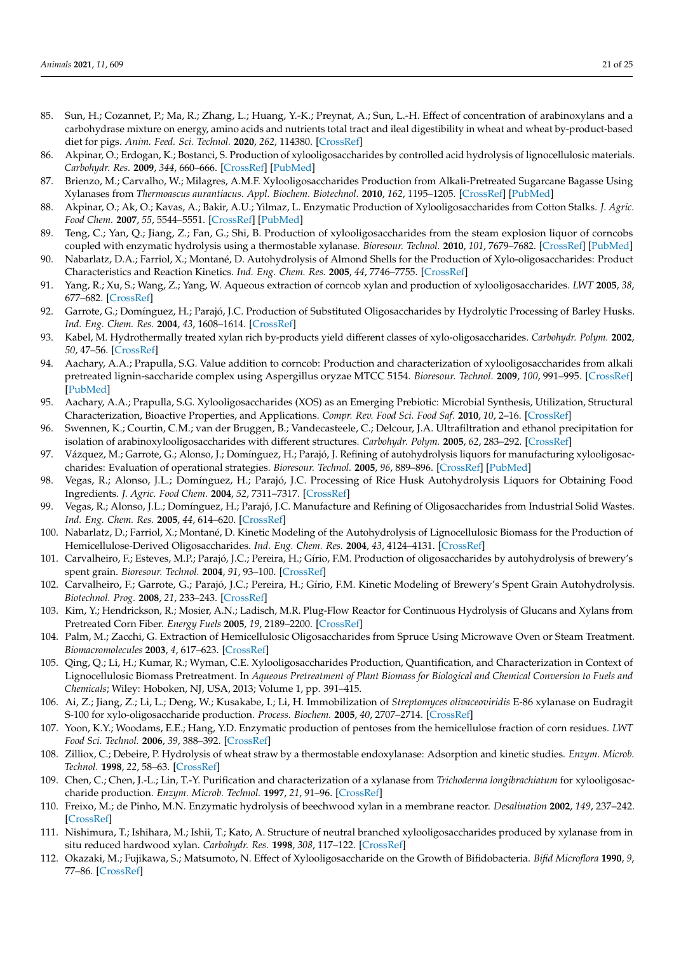- <span id="page-20-0"></span>85. Sun, H.; Cozannet, P.; Ma, R.; Zhang, L.; Huang, Y.-K.; Preynat, A.; Sun, L.-H. Effect of concentration of arabinoxylans and a carbohydrase mixture on energy, amino acids and nutrients total tract and ileal digestibility in wheat and wheat by-product-based diet for pigs. *Anim. Feed. Sci. Technol.* **2020**, *262*, 114380. [\[CrossRef\]](http://doi.org/10.1016/j.anifeedsci.2019.114380)
- <span id="page-20-1"></span>86. Akpinar, O.; Erdogan, K.; Bostanci, S. Production of xylooligosaccharides by controlled acid hydrolysis of lignocellulosic materials. *Carbohydr. Res.* **2009**, *344*, 660–666. [\[CrossRef\]](http://doi.org/10.1016/j.carres.2009.01.015) [\[PubMed\]](http://www.ncbi.nlm.nih.gov/pubmed/19211099)
- <span id="page-20-2"></span>87. Brienzo, M.; Carvalho, W.; Milagres, A.M.F. Xylooligosaccharides Production from Alkali-Pretreated Sugarcane Bagasse Using Xylanases from *Thermoascus aurantiacus*. *Appl. Biochem. Biotechnol.* **2010**, *162*, 1195–1205. [\[CrossRef\]](http://doi.org/10.1007/s12010-009-8892-5) [\[PubMed\]](http://www.ncbi.nlm.nih.gov/pubmed/20066571)
- <span id="page-20-3"></span>88. Akpinar, O.; Ak, O.; Kavas, A.; Bakir, A.U.; Yilmaz, L. Enzymatic Production of Xylooligosaccharides from Cotton Stalks. *J. Agric. Food Chem.* **2007**, *55*, 5544–5551. [\[CrossRef\]](http://doi.org/10.1021/jf063580d) [\[PubMed\]](http://www.ncbi.nlm.nih.gov/pubmed/17555328)
- <span id="page-20-4"></span>89. Teng, C.; Yan, Q.; Jiang, Z.; Fan, G.; Shi, B. Production of xylooligosaccharides from the steam explosion liquor of corncobs coupled with enzymatic hydrolysis using a thermostable xylanase. *Bioresour. Technol.* **2010**, *101*, 7679–7682. [\[CrossRef\]](http://doi.org/10.1016/j.biortech.2010.05.004) [\[PubMed\]](http://www.ncbi.nlm.nih.gov/pubmed/20554201)
- <span id="page-20-5"></span>90. Nabarlatz, D.A.; Farriol, X.; Montané, D. Autohydrolysis of Almond Shells for the Production of Xylo-oligosaccharides: Product Characteristics and Reaction Kinetics. *Ind. Eng. Chem. Res.* **2005**, *44*, 7746–7755. [\[CrossRef\]](http://doi.org/10.1021/ie050664n)
- <span id="page-20-6"></span>91. Yang, R.; Xu, S.; Wang, Z.; Yang, W. Aqueous extraction of corncob xylan and production of xylooligosaccharides. *LWT* **2005**, *38*, 677–682. [\[CrossRef\]](http://doi.org/10.1016/j.lwt.2004.07.023)
- <span id="page-20-7"></span>92. Garrote, G.; Domínguez, H.; Parajó, J.C. Production of Substituted Oligosaccharides by Hydrolytic Processing of Barley Husks. *Ind. Eng. Chem. Res.* **2004**, *43*, 1608–1614. [\[CrossRef\]](http://doi.org/10.1021/ie0342762)
- <span id="page-20-8"></span>93. Kabel, M. Hydrothermally treated xylan rich by-products yield different classes of xylo-oligosaccharides. *Carbohydr. Polym.* **2002**, *50*, 47–56. [\[CrossRef\]](http://doi.org/10.1016/S0144-8617(02)00045-0)
- <span id="page-20-9"></span>94. Aachary, A.A.; Prapulla, S.G. Value addition to corncob: Production and characterization of xylooligosaccharides from alkali pretreated lignin-saccharide complex using Aspergillus oryzae MTCC 5154. *Bioresour. Technol.* **2009**, *100*, 991–995. [\[CrossRef\]](http://doi.org/10.1016/j.biortech.2008.06.050) [\[PubMed\]](http://www.ncbi.nlm.nih.gov/pubmed/18703333)
- <span id="page-20-10"></span>95. Aachary, A.A.; Prapulla, S.G. Xylooligosaccharides (XOS) as an Emerging Prebiotic: Microbial Synthesis, Utilization, Structural Characterization, Bioactive Properties, and Applications. *Compr. Rev. Food Sci. Food Saf.* **2010**, *10*, 2–16. [\[CrossRef\]](http://doi.org/10.1111/j.1541-4337.2010.00135.x)
- <span id="page-20-11"></span>96. Swennen, K.; Courtin, C.M.; van der Bruggen, B.; Vandecasteele, C.; Delcour, J.A. Ultrafiltration and ethanol precipitation for isolation of arabinoxylooligosaccharides with different structures. *Carbohydr. Polym.* **2005**, *62*, 283–292. [\[CrossRef\]](http://doi.org/10.1016/j.carbpol.2005.08.001)
- <span id="page-20-12"></span>97. Vázquez, M.; Garrote, G.; Alonso, J.; Domínguez, H.; Parajó, J. Refining of autohydrolysis liquors for manufacturing xylooligosaccharides: Evaluation of operational strategies. *Bioresour. Technol.* **2005**, *96*, 889–896. [\[CrossRef\]](http://doi.org/10.1016/j.biortech.2004.08.013) [\[PubMed\]](http://www.ncbi.nlm.nih.gov/pubmed/15627559)
- <span id="page-20-17"></span>98. Vegas, R.; Alonso, J.L.; Domínguez, H.; Parajó, J.C. Processing of Rice Husk Autohydrolysis Liquors for Obtaining Food Ingredients. *J. Agric. Food Chem.* **2004**, *52*, 7311–7317. [\[CrossRef\]](http://doi.org/10.1021/jf049142t)
- <span id="page-20-13"></span>99. Vegas, R.; Alonso, J.L.; Domínguez, H.; Parajó, J.C. Manufacture and Refining of Oligosaccharides from Industrial Solid Wastes. *Ind. Eng. Chem. Res.* **2005**, *44*, 614–620. [\[CrossRef\]](http://doi.org/10.1021/ie049289+)
- <span id="page-20-14"></span>100. Nabarlatz, D.; Farriol, X.; Montané, D. Kinetic Modeling of the Autohydrolysis of Lignocellulosic Biomass for the Production of Hemicellulose-Derived Oligosaccharides. *Ind. Eng. Chem. Res.* **2004**, *43*, 4124–4131. [\[CrossRef\]](http://doi.org/10.1021/ie034238i)
- <span id="page-20-15"></span>101. Carvalheiro, F.; Esteves, M.P.; Parajó, J.C.; Pereira, H.; Gírio, F.M. Production of oligosaccharides by autohydrolysis of brewery's spent grain. *Bioresour. Technol.* **2004**, *91*, 93–100. [\[CrossRef\]](http://doi.org/10.1016/S0960-8524(03)00148-2)
- <span id="page-20-16"></span>102. Carvalheiro, F.; Garrote, G.; Parajó, J.C.; Pereira, H.; Gírio, F.M. Kinetic Modeling of Brewery's Spent Grain Autohydrolysis. *Biotechnol. Prog.* **2008**, *21*, 233–243. [\[CrossRef\]](http://doi.org/10.1021/bp049764z)
- <span id="page-20-18"></span>103. Kim, Y.; Hendrickson, R.; Mosier, A.N.; Ladisch, M.R. Plug-Flow Reactor for Continuous Hydrolysis of Glucans and Xylans from Pretreated Corn Fiber. *Energy Fuels* **2005**, *19*, 2189–2200. [\[CrossRef\]](http://doi.org/10.1021/ef050106l)
- <span id="page-20-19"></span>104. Palm, M.; Zacchi, G. Extraction of Hemicellulosic Oligosaccharides from Spruce Using Microwave Oven or Steam Treatment. *Biomacromolecules* **2003**, *4*, 617–623. [\[CrossRef\]](http://doi.org/10.1021/bm020112d)
- <span id="page-20-20"></span>105. Qing, Q.; Li, H.; Kumar, R.; Wyman, C.E. Xylooligosaccharides Production, Quantification, and Characterization in Context of Lignocellulosic Biomass Pretreatment. In *Aqueous Pretreatment of Plant Biomass for Biological and Chemical Conversion to Fuels and Chemicals*; Wiley: Hoboken, NJ, USA, 2013; Volume 1, pp. 391–415.
- <span id="page-20-21"></span>106. Ai, Z.; Jiang, Z.; Li, L.; Deng, W.; Kusakabe, I.; Li, H. Immobilization of *Streptomyces olivaceoviridis* E-86 xylanase on Eudragit S-100 for xylo-oligosaccharide production. *Process. Biochem.* **2005**, *40*, 2707–2714. [\[CrossRef\]](http://doi.org/10.1016/j.procbio.2004.12.006)
- <span id="page-20-22"></span>107. Yoon, K.Y.; Woodams, E.E.; Hang, Y.D. Enzymatic production of pentoses from the hemicellulose fraction of corn residues. *LWT Food Sci. Technol.* **2006**, *39*, 388–392. [\[CrossRef\]](http://doi.org/10.1016/j.lwt.2005.02.005)
- <span id="page-20-23"></span>108. Zilliox, C.; Debeire, P. Hydrolysis of wheat straw by a thermostable endoxylanase: Adsorption and kinetic studies. *Enzym. Microb. Technol.* **1998**, *22*, 58–63. [\[CrossRef\]](http://doi.org/10.1016/S0141-0229(97)00105-1)
- <span id="page-20-24"></span>109. Chen, C.; Chen, J.-L.; Lin, T.-Y. Purification and characterization of a xylanase from *Trichoderma longibrachiatum* for xylooligosaccharide production. *Enzym. Microb. Technol.* **1997**, *21*, 91–96. [\[CrossRef\]](http://doi.org/10.1016/S0141-0229(96)00236-0)
- <span id="page-20-25"></span>110. Freixo, M.; de Pinho, M.N. Enzymatic hydrolysis of beechwood xylan in a membrane reactor. *Desalination* **2002**, *149*, 237–242. [\[CrossRef\]](http://doi.org/10.1016/S0011-9164(02)00769-5)
- <span id="page-20-26"></span>111. Nishimura, T.; Ishihara, M.; Ishii, T.; Kato, A. Structure of neutral branched xylooligosaccharides produced by xylanase from in situ reduced hardwood xylan. *Carbohydr. Res.* **1998**, *308*, 117–122. [\[CrossRef\]](http://doi.org/10.1016/S0008-6215(98)00069-X)
- <span id="page-20-27"></span>112. Okazaki, M.; Fujikawa, S.; Matsumoto, N. Effect of Xylooligosaccharide on the Growth of Bifidobacteria. *Bifid Microflora* **1990**, *9*, 77–86. [\[CrossRef\]](http://doi.org/10.12938/bifidus1982.9.2_77)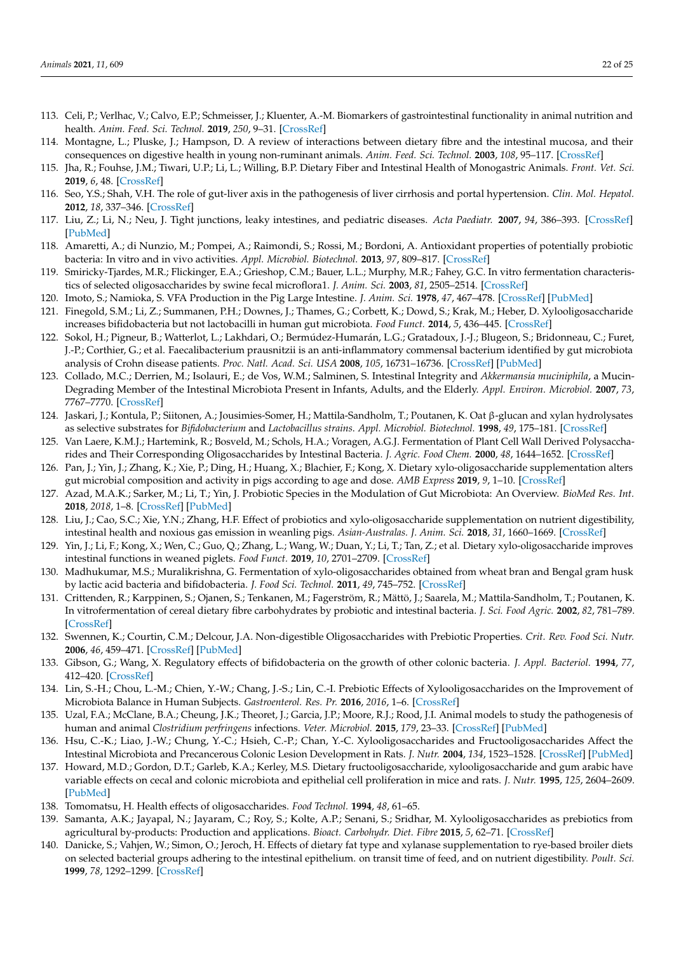- <span id="page-21-0"></span>113. Celi, P.; Verlhac, V.; Calvo, E.P.; Schmeisser, J.; Kluenter, A.-M. Biomarkers of gastrointestinal functionality in animal nutrition and health. *Anim. Feed. Sci. Technol.* **2019**, *250*, 9–31. [\[CrossRef\]](http://doi.org/10.1016/j.anifeedsci.2018.07.012)
- 114. Montagne, L.; Pluske, J.; Hampson, D. A review of interactions between dietary fibre and the intestinal mucosa, and their consequences on digestive health in young non-ruminant animals. *Anim. Feed. Sci. Technol.* **2003**, *108*, 95–117. [\[CrossRef\]](http://doi.org/10.1016/S0377-8401(03)00163-9)
- <span id="page-21-1"></span>115. Jha, R.; Fouhse, J.M.; Tiwari, U.P.; Li, L.; Willing, B.P. Dietary Fiber and Intestinal Health of Monogastric Animals. *Front. Vet. Sci.* **2019**, *6*, 48. [\[CrossRef\]](http://doi.org/10.3389/fvets.2019.00048)
- <span id="page-21-2"></span>116. Seo, Y.S.; Shah, V.H. The role of gut-liver axis in the pathogenesis of liver cirrhosis and portal hypertension. *Clin. Mol. Hepatol.* **2012**, *18*, 337–346. [\[CrossRef\]](http://doi.org/10.3350/cmh.2012.18.4.337)
- <span id="page-21-3"></span>117. Liu, Z.; Li, N.; Neu, J. Tight junctions, leaky intestines, and pediatric diseases. *Acta Paediatr.* **2007**, *94*, 386–393. [\[CrossRef\]](http://doi.org/10.1111/j.1651-2227.2005.tb01904.x) [\[PubMed\]](http://www.ncbi.nlm.nih.gov/pubmed/16092447)
- <span id="page-21-4"></span>118. Amaretti, A.; di Nunzio, M.; Pompei, A.; Raimondi, S.; Rossi, M.; Bordoni, A. Antioxidant properties of potentially probiotic bacteria: In vitro and in vivo activities. *Appl. Microbiol. Biotechnol.* **2013**, *97*, 809–817. [\[CrossRef\]](http://doi.org/10.1007/s00253-012-4241-7)
- <span id="page-21-5"></span>119. Smiricky-Tjardes, M.R.; Flickinger, E.A.; Grieshop, C.M.; Bauer, L.L.; Murphy, M.R.; Fahey, G.C. In vitro fermentation characteristics of selected oligosaccharides by swine fecal microflora1. *J. Anim. Sci.* **2003**, *81*, 2505–2514. [\[CrossRef\]](http://doi.org/10.2527/2003.81102505x)
- <span id="page-21-6"></span>120. Imoto, S.; Namioka, S. VFA Production in the Pig Large Intestine. *J. Anim. Sci.* **1978**, *47*, 467–478. [\[CrossRef\]](http://doi.org/10.2527/jas1978.472467x) [\[PubMed\]](http://www.ncbi.nlm.nih.gov/pubmed/730622)
- <span id="page-21-7"></span>121. Finegold, S.M.; Li, Z.; Summanen, P.H.; Downes, J.; Thames, G.; Corbett, K.; Dowd, S.; Krak, M.; Heber, D. Xylooligosaccharide increases bifidobacteria but not lactobacilli in human gut microbiota. *Food Funct.* **2014**, *5*, 436–445. [\[CrossRef\]](http://doi.org/10.1039/c3fo60348b)
- <span id="page-21-8"></span>122. Sokol, H.; Pigneur, B.; Watterlot, L.; Lakhdari, O.; Bermúdez-Humarán, L.G.; Gratadoux, J.-J.; Blugeon, S.; Bridonneau, C.; Furet, J.-P.; Corthier, G.; et al. Faecalibacterium prausnitzii is an anti-inflammatory commensal bacterium identified by gut microbiota analysis of Crohn disease patients. *Proc. Natl. Acad. Sci. USA* **2008**, *105*, 16731–16736. [\[CrossRef\]](http://doi.org/10.1073/pnas.0804812105) [\[PubMed\]](http://www.ncbi.nlm.nih.gov/pubmed/18936492)
- <span id="page-21-9"></span>123. Collado, M.C.; Derrien, M.; Isolauri, E.; de Vos, W.M.; Salminen, S. Intestinal Integrity and *Akkermansia muciniphila*, a Mucin-Degrading Member of the Intestinal Microbiota Present in Infants, Adults, and the Elderly. *Appl. Environ. Microbiol.* **2007**, *73*, 7767–7770. [\[CrossRef\]](http://doi.org/10.1128/AEM.01477-07)
- <span id="page-21-10"></span>124. Jaskari, J.; Kontula, P.; Siitonen, A.; Jousimies-Somer, H.; Mattila-Sandholm, T.; Poutanen, K. Oat β-glucan and xylan hydrolysates as selective substrates for *Bifidobacterium* and *Lactobacillus strains*. *Appl. Microbiol. Biotechnol.* **1998**, *49*, 175–181. [\[CrossRef\]](http://doi.org/10.1007/s002530051155)
- <span id="page-21-11"></span>125. Van Laere, K.M.J.; Hartemink, R.; Bosveld, M.; Schols, H.A.; Voragen, A.G.J. Fermentation of Plant Cell Wall Derived Polysaccharides and Their Corresponding Oligosaccharides by Intestinal Bacteria. *J. Agric. Food Chem.* **2000**, *48*, 1644–1652. [\[CrossRef\]](http://doi.org/10.1021/jf990519i)
- <span id="page-21-12"></span>126. Pan, J.; Yin, J.; Zhang, K.; Xie, P.; Ding, H.; Huang, X.; Blachier, F.; Kong, X. Dietary xylo-oligosaccharide supplementation alters gut microbial composition and activity in pigs according to age and dose. *AMB Express* **2019**, *9*, 1–10. [\[CrossRef\]](http://doi.org/10.1186/s13568-019-0858-6)
- <span id="page-21-13"></span>127. Azad, M.A.K.; Sarker, M.; Li, T.; Yin, J. Probiotic Species in the Modulation of Gut Microbiota: An Overview. *BioMed Res. Int.* **2018**, *2018*, 1–8. [\[CrossRef\]](http://doi.org/10.1155/2018/9478630) [\[PubMed\]](http://www.ncbi.nlm.nih.gov/pubmed/29854813)
- <span id="page-21-14"></span>128. Liu, J.; Cao, S.C.; Xie, Y.N.; Zhang, H.F. Effect of probiotics and xylo-oligosaccharide supplementation on nutrient digestibility, intestinal health and noxious gas emission in weanling pigs. *Asian-Australas. J. Anim. Sci.* **2018**, *31*, 1660–1669. [\[CrossRef\]](http://doi.org/10.5713/ajas.17.0908)
- <span id="page-21-15"></span>129. Yin, J.; Li, F.; Kong, X.; Wen, C.; Guo, Q.; Zhang, L.; Wang, W.; Duan, Y.; Li, T.; Tan, Z.; et al. Dietary xylo-oligosaccharide improves intestinal functions in weaned piglets. *Food Funct.* **2019**, *10*, 2701–2709. [\[CrossRef\]](http://doi.org/10.1039/C8FO02485E)
- <span id="page-21-16"></span>130. Madhukumar, M.S.; Muralikrishna, G. Fermentation of xylo-oligosaccharides obtained from wheat bran and Bengal gram husk by lactic acid bacteria and bifidobacteria. *J. Food Sci. Technol.* **2011**, *49*, 745–752. [\[CrossRef\]](http://doi.org/10.1007/s13197-010-0226-7)
- <span id="page-21-17"></span>131. Crittenden, R.; Karppinen, S.; Ojanen, S.; Tenkanen, M.; Fagerström, R.; Mättö, J.; Saarela, M.; Mattila-Sandholm, T.; Poutanen, K. In vitrofermentation of cereal dietary fibre carbohydrates by probiotic and intestinal bacteria. *J. Sci. Food Agric.* **2002**, *82*, 781–789. [\[CrossRef\]](http://doi.org/10.1002/jsfa.1095)
- <span id="page-21-18"></span>132. Swennen, K.; Courtin, C.M.; Delcour, J.A. Non-digestible Oligosaccharides with Prebiotic Properties. *Crit. Rev. Food Sci. Nutr.* **2006**, *46*, 459–471. [\[CrossRef\]](http://doi.org/10.1080/10408390500215746) [\[PubMed\]](http://www.ncbi.nlm.nih.gov/pubmed/16864139)
- <span id="page-21-19"></span>133. Gibson, G.; Wang, X. Regulatory effects of bifidobacteria on the growth of other colonic bacteria. *J. Appl. Bacteriol.* **1994**, *77*, 412–420. [\[CrossRef\]](http://doi.org/10.1111/j.1365-2672.1994.tb03443.x)
- <span id="page-21-20"></span>134. Lin, S.-H.; Chou, L.-M.; Chien, Y.-W.; Chang, J.-S.; Lin, C.-I. Prebiotic Effects of Xylooligosaccharides on the Improvement of Microbiota Balance in Human Subjects. *Gastroenterol. Res. Pr.* **2016**, *2016*, 1–6. [\[CrossRef\]](http://doi.org/10.1155/2016/5789232)
- <span id="page-21-21"></span>135. Uzal, F.A.; McClane, B.A.; Cheung, J.K.; Theoret, J.; Garcia, J.P.; Moore, R.J.; Rood, J.I. Animal models to study the pathogenesis of human and animal *Clostridium perfringens* infections. *Veter. Microbiol.* **2015**, *179*, 23–33. [\[CrossRef\]](http://doi.org/10.1016/j.vetmic.2015.02.013) [\[PubMed\]](http://www.ncbi.nlm.nih.gov/pubmed/25770894)
- <span id="page-21-22"></span>136. Hsu, C.-K.; Liao, J.-W.; Chung, Y.-C.; Hsieh, C.-P.; Chan, Y.-C. Xylooligosaccharides and Fructooligosaccharides Affect the Intestinal Microbiota and Precancerous Colonic Lesion Development in Rats. *J. Nutr.* **2004**, *134*, 1523–1528. [\[CrossRef\]](http://doi.org/10.1093/jn/134.6.1523) [\[PubMed\]](http://www.ncbi.nlm.nih.gov/pubmed/15173423)
- <span id="page-21-23"></span>137. Howard, M.D.; Gordon, D.T.; Garleb, K.A.; Kerley, M.S. Dietary fructooligosaccharide, xylooligosaccharide and gum arabic have variable effects on cecal and colonic microbiota and epithelial cell proliferation in mice and rats. *J. Nutr.* **1995**, *125*, 2604–2609. [\[PubMed\]](http://www.ncbi.nlm.nih.gov/pubmed/7562096)
- <span id="page-21-24"></span>138. Tomomatsu, H. Health effects of oligosaccharides. *Food Technol.* **1994**, *48*, 61–65.
- <span id="page-21-25"></span>139. Samanta, A.K.; Jayapal, N.; Jayaram, C.; Roy, S.; Kolte, A.P.; Senani, S.; Sridhar, M. Xylooligosaccharides as prebiotics from agricultural by-products: Production and applications. *Bioact. Carbohydr. Diet. Fibre* **2015**, *5*, 62–71. [\[CrossRef\]](http://doi.org/10.1016/j.bcdf.2014.12.003)
- <span id="page-21-26"></span>140. Danicke, S.; Vahjen, W.; Simon, O.; Jeroch, H. Effects of dietary fat type and xylanase supplementation to rye-based broiler diets on selected bacterial groups adhering to the intestinal epithelium. on transit time of feed, and on nutrient digestibility. *Poult. Sci.* **1999**, *78*, 1292–1299. [\[CrossRef\]](http://doi.org/10.1093/ps/78.9.1292)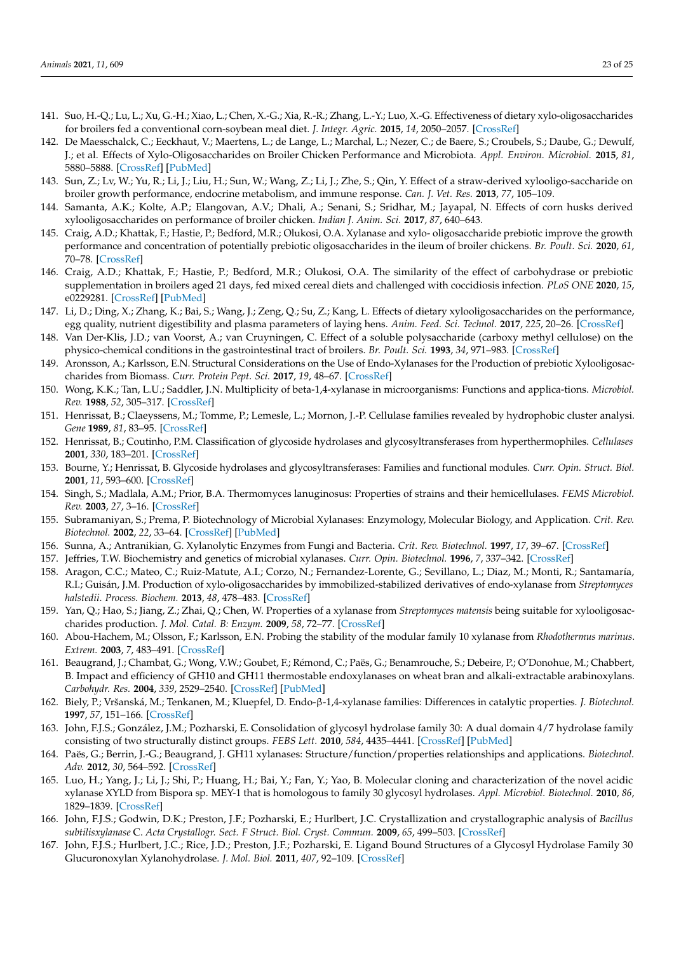- <span id="page-22-0"></span>141. Suo, H.-Q.; Lu, L.; Xu, G.-H.; Xiao, L.; Chen, X.-G.; Xia, R.-R.; Zhang, L.-Y.; Luo, X.-G. Effectiveness of dietary xylo-oligosaccharides for broilers fed a conventional corn-soybean meal diet. *J. Integr. Agric.* **2015**, *14*, 2050–2057. [\[CrossRef\]](http://doi.org/10.1016/S2095-3119(15)61101-7)
- <span id="page-22-1"></span>142. De Maesschalck, C.; Eeckhaut, V.; Maertens, L.; de Lange, L.; Marchal, L.; Nezer, C.; de Baere, S.; Croubels, S.; Daube, G.; Dewulf, J.; et al. Effects of Xylo-Oligosaccharides on Broiler Chicken Performance and Microbiota. *Appl. Environ. Microbiol.* **2015**, *81*, 5880–5888. [\[CrossRef\]](http://doi.org/10.1128/AEM.01616-15) [\[PubMed\]](http://www.ncbi.nlm.nih.gov/pubmed/26092452)
- <span id="page-22-2"></span>143. Sun, Z.; Lv, W.; Yu, R.; Li, J.; Liu, H.; Sun, W.; Wang, Z.; Li, J.; Zhe, S.; Qin, Y. Effect of a straw-derived xylooligo-saccharide on broiler growth performance, endocrine metabolism, and immune response. *Can. J. Vet. Res.* **2013**, *77*, 105–109.
- <span id="page-22-3"></span>144. Samanta, A.K.; Kolte, A.P.; Elangovan, A.V.; Dhali, A.; Senani, S.; Sridhar, M.; Jayapal, N. Effects of corn husks derived xylooligosaccharides on performance of broiler chicken. *Indian J. Anim. Sci.* **2017**, *87*, 640–643.
- <span id="page-22-4"></span>145. Craig, A.D.; Khattak, F.; Hastie, P.; Bedford, M.R.; Olukosi, O.A. Xylanase and xylo- oligosaccharide prebiotic improve the growth performance and concentration of potentially prebiotic oligosaccharides in the ileum of broiler chickens. *Br. Poult. Sci.* **2020**, *61*, 70–78. [\[CrossRef\]](http://doi.org/10.1080/00071668.2019.1673318)
- <span id="page-22-5"></span>146. Craig, A.D.; Khattak, F.; Hastie, P.; Bedford, M.R.; Olukosi, O.A. The similarity of the effect of carbohydrase or prebiotic supplementation in broilers aged 21 days, fed mixed cereal diets and challenged with coccidiosis infection. *PLoS ONE* **2020**, *15*, e0229281. [\[CrossRef\]](http://doi.org/10.1371/journal.pone.0229281) [\[PubMed\]](http://www.ncbi.nlm.nih.gov/pubmed/32092087)
- <span id="page-22-6"></span>147. Li, D.; Ding, X.; Zhang, K.; Bai, S.; Wang, J.; Zeng, Q.; Su, Z.; Kang, L. Effects of dietary xylooligosaccharides on the performance, egg quality, nutrient digestibility and plasma parameters of laying hens. *Anim. Feed. Sci. Technol.* **2017**, *225*, 20–26. [\[CrossRef\]](http://doi.org/10.1016/j.anifeedsci.2016.12.010)
- <span id="page-22-7"></span>148. Van Der-Klis, J.D.; van Voorst, A.; van Cruyningen, C. Effect of a soluble polysaccharide (carboxy methyl cellulose) on the physico-chemical conditions in the gastrointestinal tract of broilers. *Br. Poult. Sci.* **1993**, *34*, 971–983. [\[CrossRef\]](http://doi.org/10.1080/00071669308417657)
- <span id="page-22-8"></span>149. Aronsson, A.; Karlsson, E.N. Structural Considerations on the Use of Endo-Xylanases for the Production of prebiotic Xylooligosaccharides from Biomass. *Curr. Protein Pept. Sci.* **2017**, *19*, 48–67. [\[CrossRef\]](http://doi.org/10.2174/1389203717666160923155209)
- <span id="page-22-9"></span>150. Wong, K.K.; Tan, L.U.; Saddler, J.N. Multiplicity of beta-1,4-xylanase in microorganisms: Functions and applica-tions. *Microbiol. Rev.* **1988**, *52*, 305–317. [\[CrossRef\]](http://doi.org/10.1128/MR.52.3.305-317.1988)
- <span id="page-22-10"></span>151. Henrissat, B.; Claeyssens, M.; Tomme, P.; Lemesle, L.; Mornon, J.-P. Cellulase families revealed by hydrophobic cluster analysi. *Gene* **1989**, *81*, 83–95. [\[CrossRef\]](http://doi.org/10.1016/0378-1119(89)90339-9)
- <span id="page-22-11"></span>152. Henrissat, B.; Coutinho, P.M. Classification of glycoside hydrolases and glycosyltransferases from hyperthermophiles. *Cellulases* **2001**, *330*, 183–201. [\[CrossRef\]](http://doi.org/10.1016/s0076-6879(01)30375-0)
- <span id="page-22-12"></span>153. Bourne, Y.; Henrissat, B. Glycoside hydrolases and glycosyltransferases: Families and functional modules. *Curr. Opin. Struct. Biol.* **2001**, *11*, 593–600. [\[CrossRef\]](http://doi.org/10.1016/S0959-440X(00)00253-0)
- <span id="page-22-13"></span>154. Singh, S.; Madlala, A.M.; Prior, B.A. Thermomyces lanuginosus: Properties of strains and their hemicellulases. *FEMS Microbiol. Rev.* **2003**, *27*, 3–16. [\[CrossRef\]](http://doi.org/10.1016/S0168-6445(03)00018-4)
- <span id="page-22-14"></span>155. Subramaniyan, S.; Prema, P. Biotechnology of Microbial Xylanases: Enzymology, Molecular Biology, and Application. *Crit. Rev. Biotechnol.* **2002**, *22*, 33–64. [\[CrossRef\]](http://doi.org/10.1080/07388550290789450) [\[PubMed\]](http://www.ncbi.nlm.nih.gov/pubmed/11958335)
- 156. Sunna, A.; Antranikian, G. Xylanolytic Enzymes from Fungi and Bacteria. *Crit. Rev. Biotechnol.* **1997**, *17*, 39–67. [\[CrossRef\]](http://doi.org/10.3109/07388559709146606)
- 157. Jeffries, T.W. Biochemistry and genetics of microbial xylanases. *Curr. Opin. Biotechnol.* **1996**, *7*, 337–342. [\[CrossRef\]](http://doi.org/10.1016/S0958-1669(96)80041-3)
- <span id="page-22-15"></span>158. Aragon, C.C.; Mateo, C.; Ruiz-Matute, A.I.; Corzo, N.; Fernandez-Lorente, G.; Sevillano, L.; Diaz, M.; Monti, R.; Santamaría, R.I.; Guisán, J.M. Production of xylo-oligosaccharides by immobilized-stabilized derivatives of endo-xylanase from *Streptomyces halstedii*. *Process. Biochem.* **2013**, *48*, 478–483. [\[CrossRef\]](http://doi.org/10.1016/j.procbio.2013.01.010)
- <span id="page-22-16"></span>159. Yan, Q.; Hao, S.; Jiang, Z.; Zhai, Q.; Chen, W. Properties of a xylanase from *Streptomyces matensis* being suitable for xylooligosaccharides production. *J. Mol. Catal. B: Enzym.* **2009**, *58*, 72–77. [\[CrossRef\]](http://doi.org/10.1016/j.molcatb.2008.11.010)
- 160. Abou-Hachem, M.; Olsson, F.; Karlsson, E.N. Probing the stability of the modular family 10 xylanase from *Rhodothermus marinus*. *Extrem.* **2003**, *7*, 483–491. [\[CrossRef\]](http://doi.org/10.1007/s00792-003-0348-1)
- <span id="page-22-17"></span>161. Beaugrand, J.; Chambat, G.; Wong, V.W.; Goubet, F.; Rémond, C.; Paës, G.; Benamrouche, S.; Debeire, P.; O'Donohue, M.; Chabbert, B. Impact and efficiency of GH10 and GH11 thermostable endoxylanases on wheat bran and alkali-extractable arabinoxylans. *Carbohydr. Res.* **2004**, *339*, 2529–2540. [\[CrossRef\]](http://doi.org/10.1016/j.carres.2004.08.012) [\[PubMed\]](http://www.ncbi.nlm.nih.gov/pubmed/15476714)
- <span id="page-22-18"></span>162. Biely, P.; Vršanská, M.; Tenkanen, M.; Kluepfel, D. Endo-β-1,4-xylanase families: Differences in catalytic properties. *J. Biotechnol.* **1997**, *57*, 151–166. [\[CrossRef\]](http://doi.org/10.1016/S0168-1656(97)00096-5)
- <span id="page-22-19"></span>163. John, F.J.S.; González, J.M.; Pozharski, E. Consolidation of glycosyl hydrolase family 30: A dual domain 4/7 hydrolase family consisting of two structurally distinct groups. *FEBS Lett.* **2010**, *584*, 4435–4441. [\[CrossRef\]](http://doi.org/10.1016/j.febslet.2010.09.051) [\[PubMed\]](http://www.ncbi.nlm.nih.gov/pubmed/20932833)
- <span id="page-22-20"></span>164. Paës, G.; Berrin, J.-G.; Beaugrand, J. GH11 xylanases: Structure/function/properties relationships and applications. *Biotechnol. Adv.* **2012**, *30*, 564–592. [\[CrossRef\]](http://doi.org/10.1016/j.biotechadv.2011.10.003)
- <span id="page-22-21"></span>165. Luo, H.; Yang, J.; Li, J.; Shi, P.; Huang, H.; Bai, Y.; Fan, Y.; Yao, B. Molecular cloning and characterization of the novel acidic xylanase XYLD from Bispora sp. MEY-1 that is homologous to family 30 glycosyl hydrolases. *Appl. Microbiol. Biotechnol.* **2010**, *86*, 1829–1839. [\[CrossRef\]](http://doi.org/10.1007/s00253-009-2410-0)
- <span id="page-22-22"></span>166. John, F.J.S.; Godwin, D.K.; Preston, J.F.; Pozharski, E.; Hurlbert, J.C. Crystallization and crystallographic analysis of *Bacillus subtilisxylanase* C. *Acta Crystallogr. Sect. F Struct. Biol. Cryst. Commun.* **2009**, *65*, 499–503. [\[CrossRef\]](http://doi.org/10.1107/S1744309109013098)
- <span id="page-22-23"></span>167. John, F.J.S.; Hurlbert, J.C.; Rice, J.D.; Preston, J.F.; Pozharski, E. Ligand Bound Structures of a Glycosyl Hydrolase Family 30 Glucuronoxylan Xylanohydrolase. *J. Mol. Biol.* **2011**, *407*, 92–109. [\[CrossRef\]](http://doi.org/10.1016/j.jmb.2011.01.010)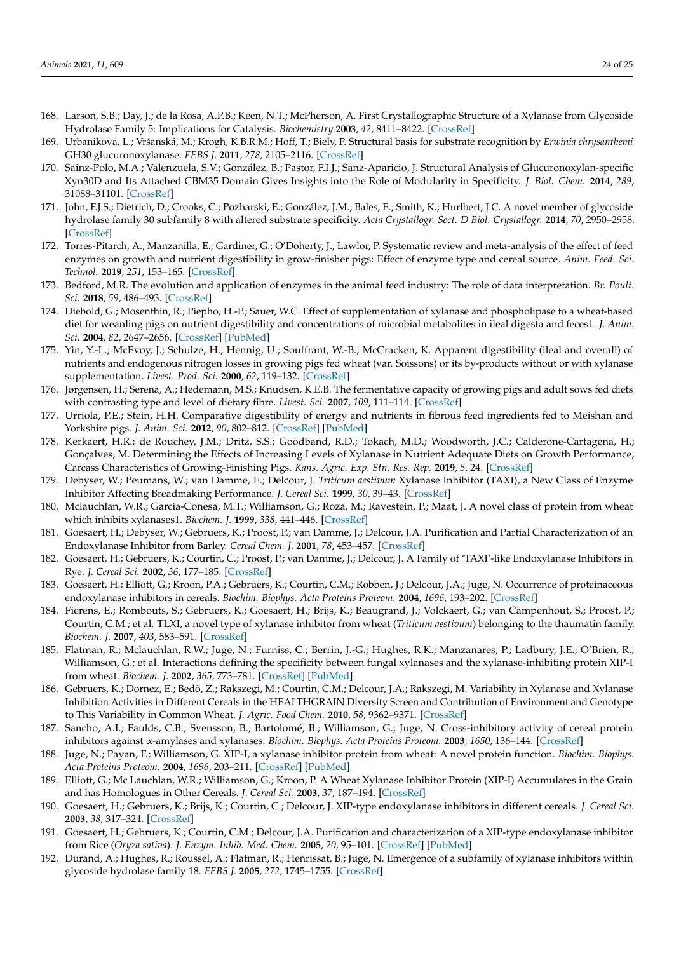- <span id="page-23-0"></span>168. Larson, S.B.; Day, J.; de la Rosa, A.P.B.; Keen, N.T.; McPherson, A. First Crystallographic Structure of a Xylanase from Glycoside Hydrolase Family 5: Implications for Catalysis. *Biochemistry* **2003**, *42*, 8411–8422. [\[CrossRef\]](http://doi.org/10.1021/bi034144c)
- <span id="page-23-1"></span>169. Urbanikova, L.; Vršanská, M.; Krogh, K.B.R.M.; Hoff, T.; Biely, P. Structural basis for substrate recognition by *Erwinia chrysanthemi* GH30 glucuronoxylanase. *FEBS J.* **2011**, *278*, 2105–2116. [\[CrossRef\]](http://doi.org/10.1111/j.1742-4658.2011.08127.x)
- <span id="page-23-2"></span>170. Sainz-Polo, M.A.; Valenzuela, S.V.; González, B.; Pastor, F.I.J.; Sanz-Aparicio, J. Structural Analysis of Glucuronoxylan-specific Xyn30D and Its Attached CBM35 Domain Gives Insights into the Role of Modularity in Specificity. *J. Biol. Chem.* **2014**, *289*, 31088–31101. [\[CrossRef\]](http://doi.org/10.1074/jbc.M114.597732)
- <span id="page-23-3"></span>171. John, F.J.S.; Dietrich, D.; Crooks, C.; Pozharski, E.; González, J.M.; Bales, E.; Smith, K.; Hurlbert, J.C. A novel member of glycoside hydrolase family 30 subfamily 8 with altered substrate specificity. *Acta Crystallogr. Sect. D Biol. Crystallogr.* **2014**, *70*, 2950–2958. [\[CrossRef\]](http://doi.org/10.1107/S1399004714019531)
- <span id="page-23-4"></span>172. Torres-Pitarch, A.; Manzanilla, E.; Gardiner, G.; O'Doherty, J.; Lawlor, P. Systematic review and meta-analysis of the effect of feed enzymes on growth and nutrient digestibility in grow-finisher pigs: Effect of enzyme type and cereal source. *Anim. Feed. Sci. Technol.* **2019**, *251*, 153–165. [\[CrossRef\]](http://doi.org/10.1016/j.anifeedsci.2018.12.007)
- <span id="page-23-5"></span>173. Bedford, M.R. The evolution and application of enzymes in the animal feed industry: The role of data interpretation. *Br. Poult. Sci.* **2018**, *59*, 486–493. [\[CrossRef\]](http://doi.org/10.1080/00071668.2018.1484074)
- <span id="page-23-6"></span>174. Diebold, G.; Mosenthin, R.; Piepho, H.-P.; Sauer, W.C. Effect of supplementation of xylanase and phospholipase to a wheat-based diet for weanling pigs on nutrient digestibility and concentrations of microbial metabolites in ileal digesta and feces1. *J. Anim. Sci.* **2004**, *82*, 2647–2656. [\[CrossRef\]](http://doi.org/10.2527/2004.8292647x) [\[PubMed\]](http://www.ncbi.nlm.nih.gov/pubmed/15446482)
- <span id="page-23-7"></span>175. Yin, Y.-L.; McEvoy, J.; Schulze, H.; Hennig, U.; Souffrant, W.-B.; McCracken, K. Apparent digestibility (ileal and overall) of nutrients and endogenous nitrogen losses in growing pigs fed wheat (var. Soissons) or its by-products without or with xylanase supplementation. *Livest. Prod. Sci.* **2000**, *62*, 119–132. [\[CrossRef\]](http://doi.org/10.1016/S0301-6226(99)00129-3)
- <span id="page-23-8"></span>176. Jørgensen, H.; Serena, A.; Hedemann, M.S.; Knudsen, K.E.B. The fermentative capacity of growing pigs and adult sows fed diets with contrasting type and level of dietary fibre. *Livest. Sci.* **2007**, *109*, 111–114. [\[CrossRef\]](http://doi.org/10.1016/j.livsci.2007.01.102)
- <span id="page-23-9"></span>177. Urriola, P.E.; Stein, H.H. Comparative digestibility of energy and nutrients in fibrous feed ingredients fed to Meishan and Yorkshire pigs. *J. Anim. Sci.* **2012**, *90*, 802–812. [\[CrossRef\]](http://doi.org/10.2527/jas.2010-3254) [\[PubMed\]](http://www.ncbi.nlm.nih.gov/pubmed/21984712)
- <span id="page-23-10"></span>178. Kerkaert, H.R.; de Rouchey, J.M.; Dritz, S.S.; Goodband, R.D.; Tokach, M.D.; Woodworth, J.C.; Calderone-Cartagena, H.; Gonçalves, M. Determining the Effects of Increasing Levels of Xylanase in Nutrient Adequate Diets on Growth Performance, Carcass Characteristics of Growing-Finishing Pigs. *Kans. Agric. Exp. Stn. Res. Rep.* **2019**, *5*, 24. [\[CrossRef\]](http://doi.org/10.4148/2378-5977.7854)
- <span id="page-23-11"></span>179. Debyser, W.; Peumans, W.; van Damme, E.; Delcour, J. *Triticum aestivum* Xylanase Inhibitor (TAXI), a New Class of Enzyme Inhibitor Affecting Breadmaking Performance. *J. Cereal Sci.* **1999**, *30*, 39–43. [\[CrossRef\]](http://doi.org/10.1006/jcrs.1999.0272)
- <span id="page-23-12"></span>180. Mclauchlan, W.R.; Garcia-Conesa, M.T.; Williamson, G.; Roza, M.; Ravestein, P.; Maat, J. A novel class of protein from wheat which inhibits xylanases1. *Biochem. J.* **1999**, *338*, 441–446. [\[CrossRef\]](http://doi.org/10.1042/bj3380441)
- <span id="page-23-13"></span>181. Goesaert, H.; Debyser, W.; Gebruers, K.; Proost, P.; van Damme, J.; Delcour, J.A. Purification and Partial Characterization of an Endoxylanase Inhibitor from Barley. *Cereal Chem. J.* **2001**, *78*, 453–457. [\[CrossRef\]](http://doi.org/10.1094/CCHEM.2001.78.4.453)
- <span id="page-23-14"></span>182. Goesaert, H.; Gebruers, K.; Courtin, C.; Proost, P.; van Damme, J.; Delcour, J. A Family of 'TAXI'-like Endoxylanase Inhibitors in Rye. *J. Cereal Sci.* **2002**, *36*, 177–185. [\[CrossRef\]](http://doi.org/10.1006/jcrs.2002.0462)
- <span id="page-23-15"></span>183. Goesaert, H.; Elliott, G.; Kroon, P.A.; Gebruers, K.; Courtin, C.M.; Robben, J.; Delcour, J.A.; Juge, N. Occurrence of proteinaceous endoxylanase inhibitors in cereals. *Biochim. Biophys. Acta Proteins Proteom.* **2004**, *1696*, 193–202. [\[CrossRef\]](http://doi.org/10.1016/j.bbapap.2003.08.015)
- <span id="page-23-16"></span>184. Fierens, E.; Rombouts, S.; Gebruers, K.; Goesaert, H.; Brijs, K.; Beaugrand, J.; Volckaert, G.; van Campenhout, S.; Proost, P.; Courtin, C.M.; et al. TLXI, a novel type of xylanase inhibitor from wheat (*Triticum aestivum*) belonging to the thaumatin family. *Biochem. J.* **2007**, *403*, 583–591. [\[CrossRef\]](http://doi.org/10.1042/BJ20061291)
- <span id="page-23-17"></span>185. Flatman, R.; Mclauchlan, R.W.; Juge, N.; Furniss, C.; Berrin, J.-G.; Hughes, R.K.; Manzanares, P.; Ladbury, J.E.; O'Brien, R.; Williamson, G.; et al. Interactions defining the specificity between fungal xylanases and the xylanase-inhibiting protein XIP-I from wheat. *Biochem. J.* **2002**, *365*, 773–781. [\[CrossRef\]](http://doi.org/10.1042/bj20020168) [\[PubMed\]](http://www.ncbi.nlm.nih.gov/pubmed/11955286)
- <span id="page-23-18"></span>186. Gebruers, K.; Dornez, E.; Bedõ, Z.; Rakszegi, M.; Courtin, C.M.; Delcour, J.A.; Rakszegi, M. Variability in Xylanase and Xylanase Inhibition Activities in Different Cereals in the HEALTHGRAIN Diversity Screen and Contribution of Environment and Genotype to This Variability in Common Wheat. *J. Agric. Food Chem.* **2010**, *58*, 9362–9371. [\[CrossRef\]](http://doi.org/10.1021/jf100474m)
- <span id="page-23-19"></span>187. Sancho, A.I.; Faulds, C.B.; Svensson, B.; Bartolomé, B.; Williamson, G.; Juge, N. Cross-inhibitory activity of cereal protein inhibitors against α-amylases and xylanases. *Biochim. Biophys. Acta Proteins Proteom.* **2003**, *1650*, 136–144. [\[CrossRef\]](http://doi.org/10.1016/S1570-9639(03)00209-7)
- <span id="page-23-20"></span>188. Juge, N.; Payan, F.; Williamson, G. XIP-I, a xylanase inhibitor protein from wheat: A novel protein function. *Biochim. Biophys. Acta Proteins Proteom.* **2004**, *1696*, 203–211. [\[CrossRef\]](http://doi.org/10.1016/j.bbapap.2003.08.014) [\[PubMed\]](http://www.ncbi.nlm.nih.gov/pubmed/14871661)
- <span id="page-23-21"></span>189. Elliott, G.; Mc Lauchlan, W.R.; Williamson, G.; Kroon, P. A Wheat Xylanase Inhibitor Protein (XIP-I) Accumulates in the Grain and has Homologues in Other Cereals. *J. Cereal Sci.* **2003**, *37*, 187–194. [\[CrossRef\]](http://doi.org/10.1006/jcrs.2002.0493)
- <span id="page-23-22"></span>190. Goesaert, H.; Gebruers, K.; Brijs, K.; Courtin, C.; Delcour, J. XIP-type endoxylanase inhibitors in different cereals. *J. Cereal Sci.* **2003**, *38*, 317–324. [\[CrossRef\]](http://doi.org/10.1016/S0733-5210(03)00046-8)
- <span id="page-23-23"></span>191. Goesaert, H.; Gebruers, K.; Courtin, C.M.; Delcour, J.A. Purification and characterization of a XIP-type endoxylanase inhibitor from Rice (*Oryza sativa*). *J. Enzym. Inhib. Med. Chem.* **2005**, *20*, 95–101. [\[CrossRef\]](http://doi.org/10.1080/14756360400002080) [\[PubMed\]](http://www.ncbi.nlm.nih.gov/pubmed/15895691)
- <span id="page-23-24"></span>192. Durand, A.; Hughes, R.; Roussel, A.; Flatman, R.; Henrissat, B.; Juge, N. Emergence of a subfamily of xylanase inhibitors within glycoside hydrolase family 18. *FEBS J.* **2005**, *272*, 1745–1755. [\[CrossRef\]](http://doi.org/10.1111/j.1742-4658.2005.04606.x)